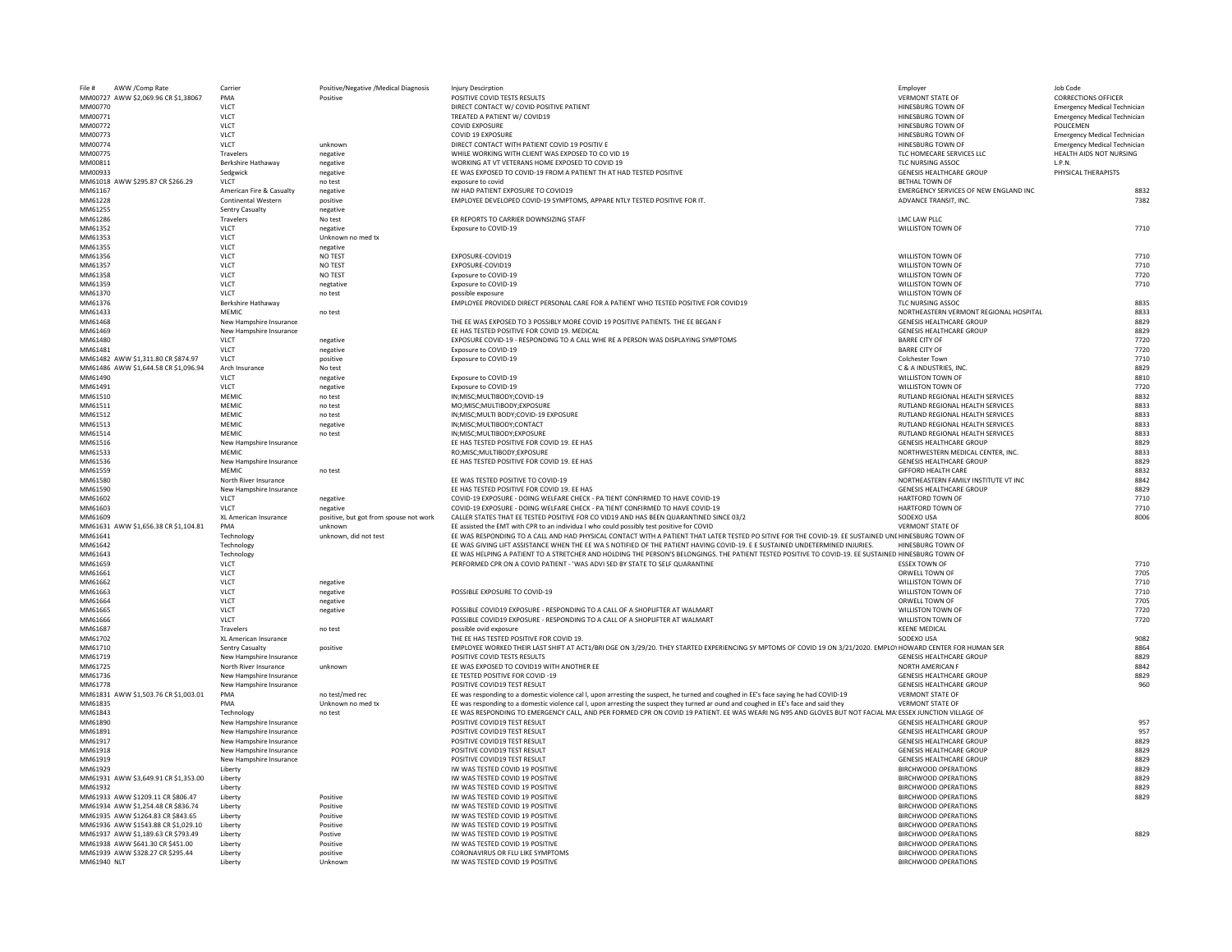| AWW /Comp Rate<br>File #             | Carrier                    | Positive/Negative /Medical Diagnosis   | Injury Descirption                                                                                                                                           | Employer                               | Job Code                            |
|--------------------------------------|----------------------------|----------------------------------------|--------------------------------------------------------------------------------------------------------------------------------------------------------------|----------------------------------------|-------------------------------------|
| MM00727 AWW \$2,069.96 CR \$1,38067  | PMA                        | Positive                               | POSITIVE COVID TESTS RESULTS                                                                                                                                 | <b>VERMONT STATE OF</b>                | <b>CORRECTIONS OFFICER</b>          |
| MM00770                              | <b>VLCT</b>                |                                        | DIRECT CONTACT W/ COVID POSITIVE PATIENT                                                                                                                     | <b>HINESBURG TOWN OF</b>               | <b>Emergency Medical Technician</b> |
| MM00771                              | <b>VLCT</b>                |                                        | TREATED A PATIENT W/ COVID19                                                                                                                                 | HINESBURG TOWN OF                      | <b>Emergency Medical Technician</b> |
| MM00772                              | <b>VLCT</b>                |                                        | <b>COVID EXPOSURE</b>                                                                                                                                        | HINESBURG TOWN OF                      | <b>POLICEMEN</b>                    |
| MM00773                              | <b>VLCT</b>                |                                        | <b>COVID 19 EXPOSURE</b>                                                                                                                                     | HINESBURG TOWN OF                      | <b>Emergency Medical Technician</b> |
| MM00774                              | <b>VLCT</b>                | unknown                                | DIRECT CONTACT WITH PATIENT COVID 19 POSITIV E                                                                                                               | HINESBURG TOWN OF                      | <b>Emergency Medical Technician</b> |
| MM00775                              | Travelers                  | negative                               | WHILE WORKING WITH CLIENT WAS EXPOSED TO CO VID 19                                                                                                           | TLC HOMECARE SERVICES LLC              | HEALTH AIDS NOT NURSING             |
| MM00811                              | Berkshire Hathaway         | negative                               | WORKING AT VT VETERANS HOME EXPOSED TO COVID 19                                                                                                              | TLC NURSING ASSOC                      | L.P.N.                              |
| MM00933                              | Sedgwick                   | negative                               | EE WAS EXPOSED TO COVID-19 FROM A PATIENT TH AT HAD TESTED POSITIVE                                                                                          | <b>GENESIS HEALTHCARE GROUP</b>        | PHYSICAL THERAPISTS                 |
| MM61018 AWW \$295.87 CR \$266.29     | <b>VLCT</b>                | no test                                | exposure to covid                                                                                                                                            | <b>BETHAL TOWN OF</b>                  |                                     |
| MM61167                              | American Fire & Casualty   | negative                               | IW HAD PATIENT EXPOSURE TO COVID19                                                                                                                           | EMERGENCY SERVICES OF NEW ENGLAND INC  | 8832                                |
| MM61228                              | <b>Continental Western</b> | positive                               | EMPLOYEE DEVELOPED COVID-19 SYMPTOMS, APPARE NTLY TESTED POSITIVE FOR IT.                                                                                    | ADVANCE TRANSIT, INC.                  | 7382                                |
| MM61255                              | <b>Sentry Casualty</b>     | negative                               |                                                                                                                                                              |                                        |                                     |
| MM61286                              | Travelers                  | No test                                | ER REPORTS TO CARRIER DOWNSIZING STAFF                                                                                                                       | LMC LAW PLLC                           |                                     |
| MM61352                              | <b>VLCT</b>                | negative                               | Exposure to COVID-19                                                                                                                                         | <b>WILLISTON TOWN OF</b>               | 7710                                |
| MM61353                              | <b>VLCT</b>                | Unknown no med tx                      |                                                                                                                                                              |                                        |                                     |
| MM61355                              | <b>VLCT</b>                | negative                               |                                                                                                                                                              |                                        |                                     |
| MM61356                              | <b>VLCT</b>                | <b>NO TEST</b>                         | EXPOSURE-COVID19                                                                                                                                             | <b>WILLISTON TOWN OF</b>               | 7710                                |
|                                      |                            | <b>NO TEST</b>                         | EXPOSURE-COVID19                                                                                                                                             | <b>WILLISTON TOWN OF</b>               | 7710                                |
| MM61357                              | <b>VLCT</b>                |                                        |                                                                                                                                                              |                                        |                                     |
| MM61358                              | <b>VLCT</b>                | <b>NO TEST</b>                         | Exposure to COVID-19                                                                                                                                         | <b>WILLISTON TOWN OF</b>               | 7720                                |
| MM61359                              | <b>VLCT</b>                | negtative                              | Exposure to COVID-19                                                                                                                                         | <b>WILLISTON TOWN OF</b>               | 7710                                |
| MM61370                              | <b>VLCT</b>                | no test                                | possible exposure                                                                                                                                            | <b>WILLISTON TOWN OF</b>               |                                     |
| MM61376                              | Berkshire Hathaway         |                                        | EMPLOYEE PROVIDED DIRECT PERSONAL CARE FOR A PATIENT WHO TESTED POSITIVE FOR COVID19                                                                         | TLC NURSING ASSOC                      | 8835                                |
| MM61433                              | <b>MEMIC</b>               | no test                                |                                                                                                                                                              | NORTHEASTERN VERMONT REGIONAL HOSPITAL | 8833                                |
| MM61468                              | New Hampshire Insurance    |                                        | THE EE WAS EXPOSED TO 3 POSSIBLY MORE COVID 19 POSITIVE PATIENTS. THE EE BEGAN F                                                                             | <b>GENESIS HEALTHCARE GROUP</b>        | 8829                                |
| MM61469                              | New Hampshire Insurance    |                                        | EE HAS TESTED POSITIVE FOR COVID 19. MEDICAL                                                                                                                 | <b>GENESIS HEALTHCARE GROUP</b>        | 8829                                |
| MM61480                              | <b>VLCT</b>                | negative                               | EXPOSURE COVID-19 - RESPONDING TO A CALL WHE RE A PERSON WAS DISPLAYING SYMPTOMS                                                                             | <b>BARRE CITY OF</b>                   | 7720                                |
| MM61481                              | <b>VLCT</b>                | negative                               | Exposure to COVID-19                                                                                                                                         | <b>BARRE CITY OF</b>                   | 7720                                |
| MM61482 AWW \$1,311.80 CR \$874.97   | <b>VLCT</b>                | positive                               | Exposure to COVID-19                                                                                                                                         | <b>Colchester Town</b>                 | 7710                                |
| MM61486 AWW \$1,644.58 CR \$1,096.94 | Arch Insurance             | No test                                |                                                                                                                                                              | C & A INDUSTRIES, INC.                 | 8829                                |
| MM61490                              | <b>VLCT</b>                | negative                               | Exposure to COVID-19                                                                                                                                         | <b>WILLISTON TOWN OF</b>               | 8810                                |
| MM61491                              | <b>VLCT</b>                | negative                               | Exposure to COVID-19                                                                                                                                         | <b>WILLISTON TOWN OF</b>               | 7720                                |
| MM61510                              | <b>MEMIC</b>               | no test                                | IN; MISC; MULTIBODY; COVID-19                                                                                                                                | RUTLAND REGIONAL HEALTH SERVICES       | 8832                                |
| MM61511                              | <b>MEMIC</b>               | no test                                | MO;MISC;MULTIBODY;EXPOSURE                                                                                                                                   | RUTLAND REGIONAL HEALTH SERVICES       | 8833                                |
| MM61512                              | <b>MEMIC</b>               | no test                                | IN; MISC; MULTI BODY; COVID-19 EXPOSURE                                                                                                                      | RUTLAND REGIONAL HEALTH SERVICES       | 8833                                |
| MM61513                              | <b>MEMIC</b>               | negative                               | IN; MISC; MULTIBODY; CONTACT                                                                                                                                 | RUTLAND REGIONAL HEALTH SERVICES       | 8833                                |
| MM61514                              | <b>MEMIC</b>               | no test                                | IN; MISC; MULTIBODY; EXPOSURE                                                                                                                                | RUTLAND REGIONAL HEALTH SERVICES       | 8833                                |
| MM61516                              | New Hampshire Insurance    |                                        | EE HAS TESTED POSITIVE FOR COVID 19. EE HAS                                                                                                                  | <b>GENESIS HEALTHCARE GROUP</b>        | 8829                                |
| MM61533                              | MEMIC                      |                                        | RO;MISC;MULTIBODY;EXPOSURE                                                                                                                                   | NORTHWESTERN MEDICAL CENTER, INC.      | 8833                                |
| MM61536                              | New Hampshire Insurance    |                                        | EE HAS TESTED POSITIVE FOR COVID 19. EE HAS                                                                                                                  | <b>GENESIS HEALTHCARE GROUP</b>        | 8829                                |
| MM61559                              | <b>MEMIC</b>               |                                        |                                                                                                                                                              | <b>GIFFORD HEALTH CARE</b>             | 8832                                |
| MM61580                              | North River Insurance      | no test                                | EE WAS TESTED POSITIVE TO COVID-19                                                                                                                           | NORTHEASTERN FAMILY INSTITUTE VT INC   | 8842                                |
|                                      |                            |                                        | EE HAS TESTED POSITIVE FOR COVID 19. EE HAS                                                                                                                  | <b>GENESIS HEALTHCARE GROUP</b>        |                                     |
| MM61590                              | New Hampshire Insurance    |                                        |                                                                                                                                                              |                                        | 8829                                |
| MM61602                              | VLCT                       | negative                               | COVID-19 EXPOSURE - DOING WELFARE CHECK - PA TIENT CONFIRMED TO HAVE COVID-19                                                                                | <b>HARTFORD TOWN OF</b>                | 7710                                |
| MM61603                              | <b>VLCT</b>                | negative                               | COVID-19 EXPOSURE - DOING WELFARE CHECK - PA TIENT CONFIRMED TO HAVE COVID-19                                                                                | <b>HARTFORD TOWN OF</b>                | 7710                                |
| MM61609                              | XL American Insurance      | positive, but got from spouse not work | CALLER STATES THAT EE TESTED POSITIVE FOR CO VID19 AND HAS BEEN QUARANTINED SINCE 03/2                                                                       | SODEXO USA                             | 8006                                |
| MM61631 AWW \$1,656.38 CR \$1,104.81 | PMA                        | unknown                                | EE assisted the EMT with CPR to an individua I who could possibly test positive for COVID                                                                    | <b>VERMONT STATE OF</b>                |                                     |
| MM61641                              | Technology                 | unknown, did not test                  | EE WAS RESPONDING TO A CALL AND HAD PHYSICAL CONTACT WITH A PATIENT THAT LATER TESTED PO SITIVE FOR THE COVID-19. EE SUSTAINED UNI HINESBURG TOWN OF         |                                        |                                     |
| MM61642                              | Technology                 |                                        | EE WAS GIVING LIFT ASSISTANCE WHEN THE EE WA S NOTIFIED OF THE PATIENT HAVING COVID-19. E E SUSTAINED UNDETERMINED INJURIES.                                 | <b>HINESBURG TOWN OF</b>               |                                     |
| MM61643                              | Technology                 |                                        | EE WAS HELPING A PATIENT TO A STRETCHER AND HOLDING THE PERSON'S BELONGINGS. THE PATIENT TESTED POSITIVE TO COVID-19. EE SUSTAINED HINESBURG TOWN OF         |                                        |                                     |
| MM61659                              | <b>VLCT</b>                |                                        | PERFORMED CPR ON A COVID PATIENT - 'WAS ADVI SED BY STATE TO SELF QUARANTINE                                                                                 | <b>ESSEX TOWN OF</b>                   | 7710                                |
| MM61661                              | <b>VLCT</b>                |                                        |                                                                                                                                                              | <b>ORWELL TOWN OF</b>                  | 7705                                |
| MM61662                              | <b>VLCT</b>                | negative                               |                                                                                                                                                              | <b>WILLISTON TOWN OF</b>               | 7710                                |
| MM61663                              | <b>VLCT</b>                | negative                               | POSSIBLE EXPOSURE TO COVID-19                                                                                                                                | <b>WILLISTON TOWN OF</b>               | 7710                                |
| MM61664                              | <b>VLCT</b>                | negative                               |                                                                                                                                                              | ORWELL TOWN OF                         | 7705                                |
| MM61665                              | <b>VLCT</b>                | negative                               | POSSIBLE COVID19 EXPOSURE - RESPONDING TO A CALL OF A SHOPLIFTER AT WALMART                                                                                  | <b>WILLISTON TOWN OF</b>               | 7720                                |
| MM61666                              | <b>VLCT</b>                |                                        | POSSIBLE COVID19 EXPOSURE - RESPONDING TO A CALL OF A SHOPLIFTER AT WALMART                                                                                  | <b>WILLISTON TOWN OF</b>               | 7720                                |
| MM61687                              | Travelers                  | no test                                | possible ovid exposure                                                                                                                                       | <b>KEENE MEDICAL</b>                   |                                     |
| MM61702                              | XL American Insurance      |                                        | THE EE HAS TESTED POSITIVE FOR COVID 19.                                                                                                                     | SODEXO USA                             | 9082                                |
| MM61710                              | <b>Sentry Casualty</b>     | positive                               | EMPLOYEE WORKED THEIR LAST SHIFT AT ACT1/BRI DGE ON 3/29/20. THEY STARTED EXPERIENCING SY MPTOMS OF COVID 19 ON 3/21/2020. EMPLOYHOWARD CENTER FOR HUMAN SER |                                        | 8864                                |
| MM61719                              | New Hampshire Insurance    |                                        | POSITIVE COVID TESTS RESULTS                                                                                                                                 | <b>GENESIS HEALTHCARE GROUP</b>        | 8829                                |
| MM61725                              | North River Insurance      | unknown                                | EE WAS EXPOSED TO COVID19 WITH ANOTHER EE                                                                                                                    | <b>NORTH AMERICAN F</b>                | 8842                                |
| MM61736                              | New Hampshire Insurance    |                                        | EE TESTED POSITIVE FOR COVID-19                                                                                                                              | <b>GENESIS HEALTHCARE GROUP</b>        | 8829                                |
| MM61778                              | New Hampshire Insurance    |                                        | POSITIVE COVID19 TEST RESULT                                                                                                                                 | <b>GENESIS HEALTHCARE GROUP</b>        | 960                                 |
| MM61831 AWW \$1,503.76 CR \$1,003.01 | PMA                        | no test/med rec                        | EE was responding to a domestic violence cal I, upon arresting the suspect, he turned and coughed in EE's face saying he had COVID-19                        | <b>VERMONT STATE OF</b>                |                                     |
| MM61835                              | PMA                        | Unknown no med tx                      | EE was responding to a domestic violence cal I, upon arresting the suspect they turned ar ound and coughed in EE's face and said they                        | <b>VERMONT STATE OF</b>                |                                     |
| MM61843                              | Technology                 | no test                                | EE WAS RESPONDING TO EMERGENCY CALL, AND PER FORMED CPR ON COVID 19 PATIENT. EE WAS WEARI NG N95 AND GLOVES BUT NOT FACIAL MA' ESSEX JUNCTION VILLAGE OF     |                                        |                                     |
| MM61890                              | New Hampshire Insurance    |                                        | POSITIVE COVID19 TEST RESULT                                                                                                                                 | <b>GENESIS HEALTHCARE GROUP</b>        | 957                                 |
| MM61891                              | New Hampshire Insurance    |                                        | POSITIVE COVID19 TEST RESULT                                                                                                                                 | <b>GENESIS HEALTHCARE GROUP</b>        | 957                                 |
| MM61917                              | New Hampshire Insurance    |                                        | POSITIVE COVID19 TEST RESULT                                                                                                                                 | <b>GENESIS HEALTHCARE GROUP</b>        | 8829                                |
| MM61918                              | New Hampshire Insurance    |                                        | POSITIVE COVID19 TEST RESULT                                                                                                                                 | <b>GENESIS HEALTHCARE GROUP</b>        | 8829                                |
| MM61919                              | New Hampshire Insurance    |                                        | POSITIVE COVID19 TEST RESULT                                                                                                                                 | <b>GENESIS HEALTHCARE GROUP</b>        | 8829                                |
| MM61929                              | Liberty                    |                                        | IW WAS TESTED COVID 19 POSITIVE                                                                                                                              | <b>BIRCHWOOD OPERATIONS</b>            | 8829                                |
| MM61931 AWW \$3,649.91 CR \$1,353.00 | Liberty                    |                                        | IW WAS TESTED COVID 19 POSITIVE                                                                                                                              | <b>BIRCHWOOD OPERATIONS</b>            | 8829                                |
| MM61932                              |                            |                                        | IW WAS TESTED COVID 19 POSITIVE                                                                                                                              | <b>BIRCHWOOD OPERATIONS</b>            | 8829                                |
| MM61933 AWW \$1209.11 CR \$806.47    | Liberty                    | Positive                               | IW WAS TESTED COVID 19 POSITIVE                                                                                                                              | <b>BIRCHWOOD OPERATIONS</b>            | 8829                                |
|                                      | Liberty                    |                                        |                                                                                                                                                              | <b>BIRCHWOOD OPERATIONS</b>            |                                     |
| MM61934 AWW \$1,254.48 CR \$836.74   | Liberty                    | Positive                               | IW WAS TESTED COVID 19 POSITIVE                                                                                                                              |                                        |                                     |
| MM61935 AWW \$1264.83 CR \$843.65    | Liberty                    | Positive                               | IW WAS TESTED COVID 19 POSITIVE                                                                                                                              | <b>BIRCHWOOD OPERATIONS</b>            |                                     |
| MM61936 AWW \$1543.88 CR \$1,029.10  | Liberty                    | Positive                               | IW WAS TESTED COVID 19 POSITIVE                                                                                                                              | <b>BIRCHWOOD OPERATIONS</b>            |                                     |
| MM61937 AWW \$1,189.63 CR \$793.49   | Liberty                    | Postive                                | IW WAS TESTED COVID 19 POSITIVE                                                                                                                              | <b>BIRCHWOOD OPERATIONS</b>            | 8829                                |
| MM61938 AWW \$641.30 CR \$451.00     | Liberty                    | Positive                               | IW WAS TESTED COVID 19 POSITIVE                                                                                                                              | <b>BIRCHWOOD OPERATIONS</b>            |                                     |
| MM61939 AWW \$328.27 CR \$295.44     | Liberty                    | positive                               | CORONAVIRUS OR FLU LIKE SYMPTOMS                                                                                                                             | <b>BIRCHWOOD OPERATIONS</b>            |                                     |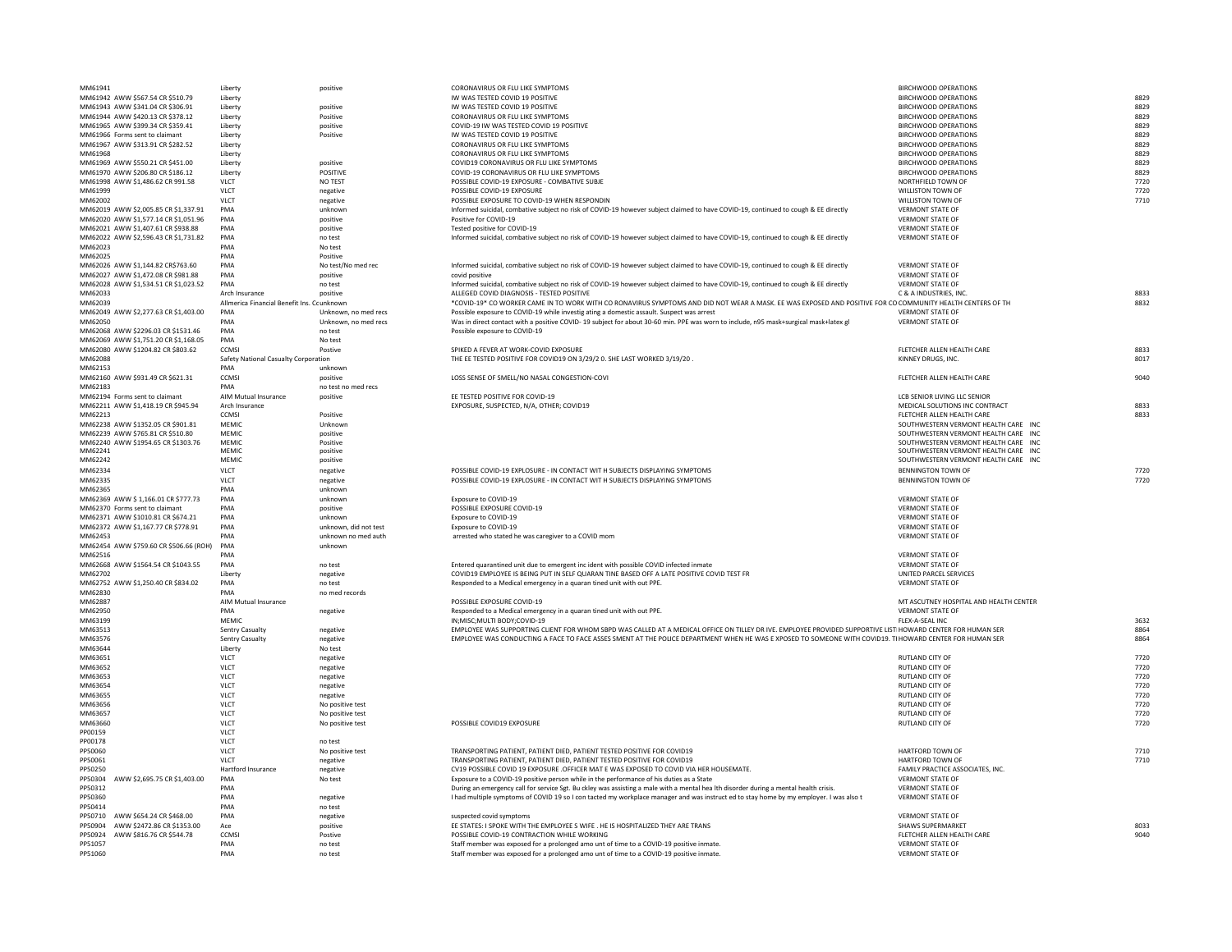|                                        | Liberty                                    | positive              | IW WAS TESTED COVID 19 POSITIVE                                                                                                                            | <b>BIRCHWOOD OPERATIONS</b>            | 8829 |
|----------------------------------------|--------------------------------------------|-----------------------|------------------------------------------------------------------------------------------------------------------------------------------------------------|----------------------------------------|------|
| MM61944 AWW \$420.13 CR \$378.12       | Liberty                                    | Positive              | CORONAVIRUS OR FLU LIKE SYMPTOMS                                                                                                                           | <b>BIRCHWOOD OPERATIONS</b>            | 8829 |
| MM61965 AWW \$399.34 CR \$359.41       | Liberty                                    | positive              | COVID-19 IW WAS TESTED COVID 19 POSITIVE                                                                                                                   | <b>BIRCHWOOD OPERATIONS</b>            | 8829 |
|                                        |                                            |                       |                                                                                                                                                            |                                        |      |
| MM61966 Forms sent to claimant         | Liberty                                    | Positive              | IW WAS TESTED COVID 19 POSITIVE                                                                                                                            | <b>BIRCHWOOD OPERATIONS</b>            | 8829 |
| MM61967 AWW \$313.91 CR \$282.52       | Liberty                                    |                       | CORONAVIRUS OR FLU LIKE SYMPTOMS                                                                                                                           | <b>BIRCHWOOD OPERATIONS</b>            | 8829 |
| MM61968                                | Liberty                                    |                       | CORONAVIRUS OR FLU LIKE SYMPTOMS                                                                                                                           | <b>BIRCHWOOD OPERATIONS</b>            | 8829 |
| MM61969 AWW \$550.21 CR \$451.00       | Liberty                                    | positive              | COVID19 CORONAVIRUS OR FLU LIKE SYMPTOMS                                                                                                                   | <b>BIRCHWOOD OPERATIONS</b>            | 8829 |
|                                        |                                            |                       |                                                                                                                                                            |                                        |      |
| MM61970 AWW \$206.80 CR \$186.12       | Liberty                                    | <b>POSITIVE</b>       | COVID-19 CORONAVIRUS OR FLU LIKE SYMPTOMS                                                                                                                  | <b>BIRCHWOOD OPERATIONS</b>            | 8829 |
| MM61998 AWW \$1,486.62 CR 991.58       | <b>VLCT</b>                                | NO TEST               | POSSIBLE COVID-19 EXPOSURE - COMBATIVE SUBJE                                                                                                               | NORTHFIELD TOWN OF                     | 7720 |
| MM61999                                | <b>VLCT</b>                                | negative              | POSSIBLE COVID-19 EXPOSURE                                                                                                                                 | <b>WILLISTON TOWN OF</b>               | 7720 |
| MM62002                                | <b>VLCT</b>                                | negative              | POSSIBLE EXPOSURE TO COVID-19 WHEN RESPONDIN                                                                                                               | <b>WILLISTON TOWN OF</b>               | 7710 |
|                                        |                                            |                       |                                                                                                                                                            |                                        |      |
| MM62019 AWW \$2,005.85 CR \$1,337.91   | PMA                                        | unknown               | Informed suicidal, combative subject no risk of COVID-19 however subject claimed to have COVID-19, continued to cough & EE directly                        | <b>VERMONT STATE OF</b>                |      |
| MM62020 AWW \$1,577.14 CR \$1,051.96   | PMA                                        | positive              | Positive for COVID-19                                                                                                                                      | <b>VERMONT STATE OF</b>                |      |
| MM62021 AWW \$1,407.61 CR \$938.88     | PMA                                        | positive              | Tested positive for COVID-19                                                                                                                               | <b>VERMONT STATE OF</b>                |      |
| MM62022 AWW \$2,596.43 CR \$1,731.82   | PMA                                        | no test               | Informed suicidal, combative subject no risk of COVID-19 however subject claimed to have COVID-19, continued to cough & EE directly                        | <b>VERMONT STATE OF</b>                |      |
|                                        |                                            |                       |                                                                                                                                                            |                                        |      |
| MM62023                                | PMA                                        | No test               |                                                                                                                                                            |                                        |      |
| MM62025                                | <b>PMA</b>                                 | Positive              |                                                                                                                                                            |                                        |      |
| MM62026 AWW \$1,144.82 CR\$763.60      | PMA                                        | No test/No med rec    | Informed suicidal, combative subject no risk of COVID-19 however subject claimed to have COVID-19, continued to cough & EE directly                        | <b>VERMONT STATE OF</b>                |      |
| MM62027 AWW \$1,472.08 CR \$981.88     | PMA                                        | positive              | covid positive                                                                                                                                             | <b>VERMONT STATE OF</b>                |      |
|                                        |                                            |                       |                                                                                                                                                            |                                        |      |
| MM62028 AWW \$1,534.51 CR \$1,023.52   | PMA                                        | no test               | Informed suicidal, combative subject no risk of COVID-19 however subject claimed to have COVID-19, continued to cough & EE directly                        | <b>VERMONT STATE OF</b>                |      |
| MM62033                                | Arch Insurance                             | positive              | ALLEGED COVID DIAGNOSIS - TESTED POSITIVE                                                                                                                  | C & A INDUSTRIES, INC.                 | 8833 |
| MM62039                                | Allmerica Financial Benefit Ins. Counknown |                       | *COVID-19* CO WORKER CAME IN TO WORK WITH CO RONAVIRUS SYMPTOMS AND DID NOT WEAR A MASK. EE WAS EXPOSED AND POSITIVE FOR                                   | CO COMMUNITY HEALTH CENTERS OF TH      | 8832 |
| MM62049 AWW \$2,277.63 CR \$1,403.00   | PMA                                        | Unknown, no med recs  | Possible exposure to COVID-19 while investig ating a domestic assault. Suspect was arrest                                                                  | <b>VERMONT STATE OF</b>                |      |
|                                        |                                            |                       |                                                                                                                                                            |                                        |      |
| MM62050                                | <b>PMA</b>                                 | Unknown, no med recs  | Was in direct contact with a positive COVID-19 subject for about 30-60 min. PPE was worn to include, n95 mask+surgical mask+latex gl                       | <b>VERMONT STATE OF</b>                |      |
| MM62068 AWW \$2296.03 CR \$1531.46     | PMA                                        | no test               | Possible exposure to COVID-19                                                                                                                              |                                        |      |
| MM62069 AWW \$1,751.20 CR \$1,168.05   | PMA                                        | No test               |                                                                                                                                                            |                                        |      |
| MM62080 AWW \$1204.82 CR \$803.62      | <b>CCMSI</b>                               |                       | SPIKED A FEVER AT WORK-COVID EXPOSURE                                                                                                                      | FLETCHER ALLEN HEALTH CARE             | 8833 |
|                                        |                                            | Postive               |                                                                                                                                                            |                                        |      |
| MM62088                                | Safety National Casualty Corporation       |                       | THE EE TESTED POSITIVE FOR COVID19 ON 3/29/2 0. SHE LAST WORKED 3/19/20                                                                                    | KINNEY DRUGS, INC.                     | 8017 |
| MM62153                                | PMA                                        | unknown               |                                                                                                                                                            |                                        |      |
| MM62160 AWW \$931.49 CR \$621.31       | <b>CCMSI</b>                               | positive              | LOSS SENSE OF SMELL/NO NASAL CONGESTION-COVI                                                                                                               | FLETCHER ALLEN HEALTH CARE             | 9040 |
| MM62183                                | <b>PMA</b>                                 | no test no med recs   |                                                                                                                                                            |                                        |      |
|                                        |                                            |                       |                                                                                                                                                            |                                        |      |
| MM62194 Forms sent to claimant         | AIM Mutual Insurance                       | positive              | EE TESTED POSITIVE FOR COVID-19                                                                                                                            | LCB SENIOR LIVING LLC SENIOR           |      |
| MM62211 AWW \$1,418.19 CR \$945.94     | Arch Insurance                             |                       | EXPOSURE, SUSPECTED, N/A, OTHER; COVID19                                                                                                                   | MEDICAL SOLUTIONS INC CONTRACT         | 8833 |
| MM62213                                | <b>CCMSI</b>                               | Positive              |                                                                                                                                                            | FLETCHER ALLEN HEALTH CARE             | 8833 |
|                                        |                                            |                       |                                                                                                                                                            | SOUTHWESTERN VERMONT HEALTH CARE INC   |      |
| MM62238 AWW \$1352.05 CR \$901.81      | <b>MEMIC</b>                               | Unknown               |                                                                                                                                                            |                                        |      |
| MM62239 AWW \$765.81 CR \$510.80       | <b>MEMIC</b>                               | positive              |                                                                                                                                                            | SOUTHWESTERN VERMONT HEALTH CARE INC   |      |
| MM62240 AWW \$1954.65 CR \$1303.76     | <b>MEMIC</b>                               | Positive              |                                                                                                                                                            | SOUTHWESTERN VERMONT HEALTH CARE INC   |      |
| MM62241                                | <b>MEMIC</b>                               | positive              |                                                                                                                                                            | SOUTHWESTERN VERMONT HEALTH CARE INC   |      |
| MM62242                                | <b>MEMIC</b>                               | positive              |                                                                                                                                                            | SOUTHWESTERN VERMONT HEALTH CARE INC   |      |
|                                        |                                            |                       |                                                                                                                                                            |                                        |      |
| MM62334                                | <b>VLCT</b>                                | negative              | POSSIBLE COVID-19 EXPLOSURE - IN CONTACT WIT H SUBJECTS DISPLAYING SYMPTOMS                                                                                | <b>BENNINGTON TOWN OF</b>              | 7720 |
| MM62335                                | <b>VLCT</b>                                | negative              | POSSIBLE COVID-19 EXPLOSURE - IN CONTACT WIT H SUBJECTS DISPLAYING SYMPTOMS                                                                                | <b>BENNINGTON TOWN OF</b>              | 7720 |
| MM62365                                | PMA                                        | unknown               |                                                                                                                                                            |                                        |      |
|                                        |                                            |                       |                                                                                                                                                            |                                        |      |
| MM62369 AWW \$ 1,166.01 CR \$777.73    | PMA                                        | unknown               | Exposure to COVID-19                                                                                                                                       | <b>VERMONT STATE OF</b>                |      |
| MM62370 Forms sent to claimant         | PMA                                        | positive              | POSSIBLE EXPOSURE COVID-19                                                                                                                                 | <b>VERMONT STATE OF</b>                |      |
| MM62371 AWW \$1010.81 CR \$674.21      | PMA                                        | unknown               | Exposure to COVID-19                                                                                                                                       | <b>VERMONT STATE OF</b>                |      |
|                                        |                                            |                       |                                                                                                                                                            |                                        |      |
| MM62372 AWW \$1,167.77 CR \$778.91     | PMA                                        | unknown, did not test | <b>Exposure to COVID-19</b>                                                                                                                                | <b>VERMONT STATE OF</b>                |      |
| MM62453                                | PMA                                        | unknown no med auth   | arrested who stated he was caregiver to a COVID mom                                                                                                        | <b>VERMONT STATE OF</b>                |      |
| MM62454 AWW \$759.60 CR \$506.66 (ROH) | PMA                                        | unknown               |                                                                                                                                                            |                                        |      |
|                                        | PMA                                        |                       |                                                                                                                                                            | <b>VERMONT STATE OF</b>                |      |
|                                        |                                            |                       |                                                                                                                                                            |                                        |      |
| MM62516                                |                                            | no test               | Entered quarantined unit due to emergent inc ident with possible COVID infected inmate                                                                     | <b>VERMONT STATE OF</b>                |      |
| MM62668 AWW \$1564.54 CR \$1043.55     | PMA                                        |                       | COVID19 EMPLOYEE IS BEING PUT IN SELF QUARAN TINE BASED OFF A LATE POSITIVE COVID TEST FR                                                                  | UNITED PARCEL SERVICES                 |      |
| MM62702                                | Liberty                                    | negative              |                                                                                                                                                            |                                        |      |
|                                        |                                            |                       |                                                                                                                                                            |                                        |      |
| MM62752 AWW \$1,250.40 CR \$834.02     | PMA                                        | no test               | Responded to a Medical emergency in a quaran tined unit with out PPE.                                                                                      | <b>VERMONT STATE OF</b>                |      |
| MM62830                                | PMA                                        | no med records        |                                                                                                                                                            |                                        |      |
| MM62887                                | AIM Mutual Insurance                       |                       | POSSIBLE EXPOSURE COVID-19                                                                                                                                 | MT ASCUTNEY HOSPITAL AND HEALTH CENTER |      |
| MM62950                                | PMA                                        | negative              | Responded to a Medical emergency in a quaran tined unit with out PPE.                                                                                      | <b>VERMONT STATE OF</b>                |      |
|                                        | <b>MEMIC</b>                               |                       |                                                                                                                                                            | FLEX-A-SEAL INC                        |      |
| MM63199                                |                                            |                       | IN; MISC; MULTI BODY; COVID-19                                                                                                                             |                                        | 3632 |
| MM63513                                | <b>Sentry Casualty</b>                     | negative              | EMPLOYEE WAS SUPPORTING CLIENT FOR WHOM SBPD WAS CALLED AT A MEDICAL OFFICE ON TILLEY DRIVE. EMPLOYEE PROVIDED SUPPORTIVE LISTIHOWARD CENTER FOR HUMAN SER |                                        | 8864 |
| MM63576                                | <b>Sentry Casualty</b>                     | negative              | EMPLOYEE WAS CONDUCTING A FACE TO FACE ASSES SMENT AT THE POLICE DEPARTMENT WHEN HE WAS E XPOSED TO SOMEONE WITH COVID19. TI HOWARD CENTER FOR HUMAN SER   |                                        | 8864 |
| MM63644                                | Liberty                                    | No test               |                                                                                                                                                            |                                        |      |
| MM63651                                | <b>VLCT</b>                                | negative              |                                                                                                                                                            | <b>RUTLAND CITY OF</b>                 | 7720 |
|                                        |                                            |                       |                                                                                                                                                            |                                        |      |
| MM63652                                | <b>VLCT</b>                                | negative              |                                                                                                                                                            | <b>RUTLAND CITY OF</b>                 | 7720 |
| MM63653                                | <b>VLCT</b>                                | negative              |                                                                                                                                                            | <b>RUTLAND CITY OF</b>                 | 7720 |
| MM63654                                | <b>VLCT</b>                                | negative              |                                                                                                                                                            | <b>RUTLAND CITY OF</b>                 | 7720 |
|                                        |                                            |                       |                                                                                                                                                            |                                        |      |
| MM63655                                | <b>VLCT</b>                                | negative              |                                                                                                                                                            | <b>RUTLAND CITY OF</b>                 | 7720 |
| MM63656                                | <b>VLCT</b>                                | No positive test      |                                                                                                                                                            | RUTLAND CITY OF                        | 7720 |
| MM63657                                | <b>VLCT</b>                                | No positive test      |                                                                                                                                                            | <b>RUTLAND CITY OF</b>                 | 7720 |
| MM63660                                | <b>VLCT</b>                                | No positive test      | POSSIBLE COVID19 EXPOSURE                                                                                                                                  | <b>RUTLAND CITY OF</b>                 | 7720 |
|                                        |                                            |                       |                                                                                                                                                            |                                        |      |
| PP00159                                | <b>VLCT</b>                                |                       |                                                                                                                                                            |                                        |      |
| PP00178                                | <b>VLCT</b>                                | no test               |                                                                                                                                                            |                                        |      |
| PP50060                                | <b>VLCT</b>                                | No positive test      | TRANSPORTING PATIENT, PATIENT DIED, PATIENT TESTED POSITIVE FOR COVID19                                                                                    | <b>HARTFORD TOWN OF</b>                | 7710 |
| PP50061                                | <b>VLCT</b>                                | negative              | TRANSPORTING PATIENT, PATIENT DIED, PATIENT TESTED POSITIVE FOR COVID19                                                                                    | <b>HARTFORD TOWN OF</b>                | 7710 |
|                                        |                                            |                       |                                                                                                                                                            |                                        |      |
| PP50250                                | Hartford Insurance                         | negative              | CV19 POSSIBLE COVID 19 EXPOSURE . OFFICER MAT E WAS EXPOSED TO COVID VIA HER HOUSEMATE.                                                                    | FAMILY PRACTICE ASSOCIATES, INC.       |      |
| PP50304 AWW \$2,695.75 CR \$1,403.00   | PMA                                        | No test               | Exposure to a COVID-19 positive person while in the performance of his duties as a State                                                                   | <b>VERMONT STATE OF</b>                |      |
| PP50312                                | PMA                                        |                       | During an emergency call for service Sgt. Bu ckley was assisting a male with a mental hea lth disorder during a mental health crisis.                      | <b>VERMONT STATE OF</b>                |      |
|                                        | PMA                                        |                       |                                                                                                                                                            | <b>VERMONT STATE OF</b>                |      |
| PP50360                                |                                            | negative              | I had multiple symptoms of COVID 19 so I con tacted my workplace manager and was instruct ed to stay home by my employer. I was also t                     |                                        |      |
| PP50414                                | PMA                                        | no test               |                                                                                                                                                            |                                        |      |
| PP50710 AWW \$654.24 CR \$468.00       | PMA                                        | negative              | suspected covid symptoms                                                                                                                                   | <b>VERMONT STATE OF</b>                |      |
| PP50904 AWW \$2472.86 CR \$1353.00     | Ace                                        | positive              | EE STATES: I SPOKE WITH THE EMPLOYEE S WIFE . HE IS HOSPITALIZED THEY ARE TRANS                                                                            | <b>SHAWS SUPERMARKET</b>               | 8033 |
|                                        |                                            |                       |                                                                                                                                                            |                                        |      |
| PP50924 AWW \$816.76 CR \$544.78       | <b>CCMSI</b>                               | Postive               | POSSIBLE COVID-19 CONTRACTION WHILE WORKING                                                                                                                | FLETCHER ALLEN HEALTH CARE             | 9040 |
| PP51057                                | PMA                                        | no test               | Staff member was exposed for a prolonged amo unt of time to a COVID-19 positive inmate.                                                                    | <b>VERMONT STATE OF</b>                |      |
| PP51060                                | PMA                                        | no test               | Staff member was exposed for a prolonged amo unt of time to a COVID-19 positive inmate.                                                                    | <b>VERMONT STATE OF</b>                |      |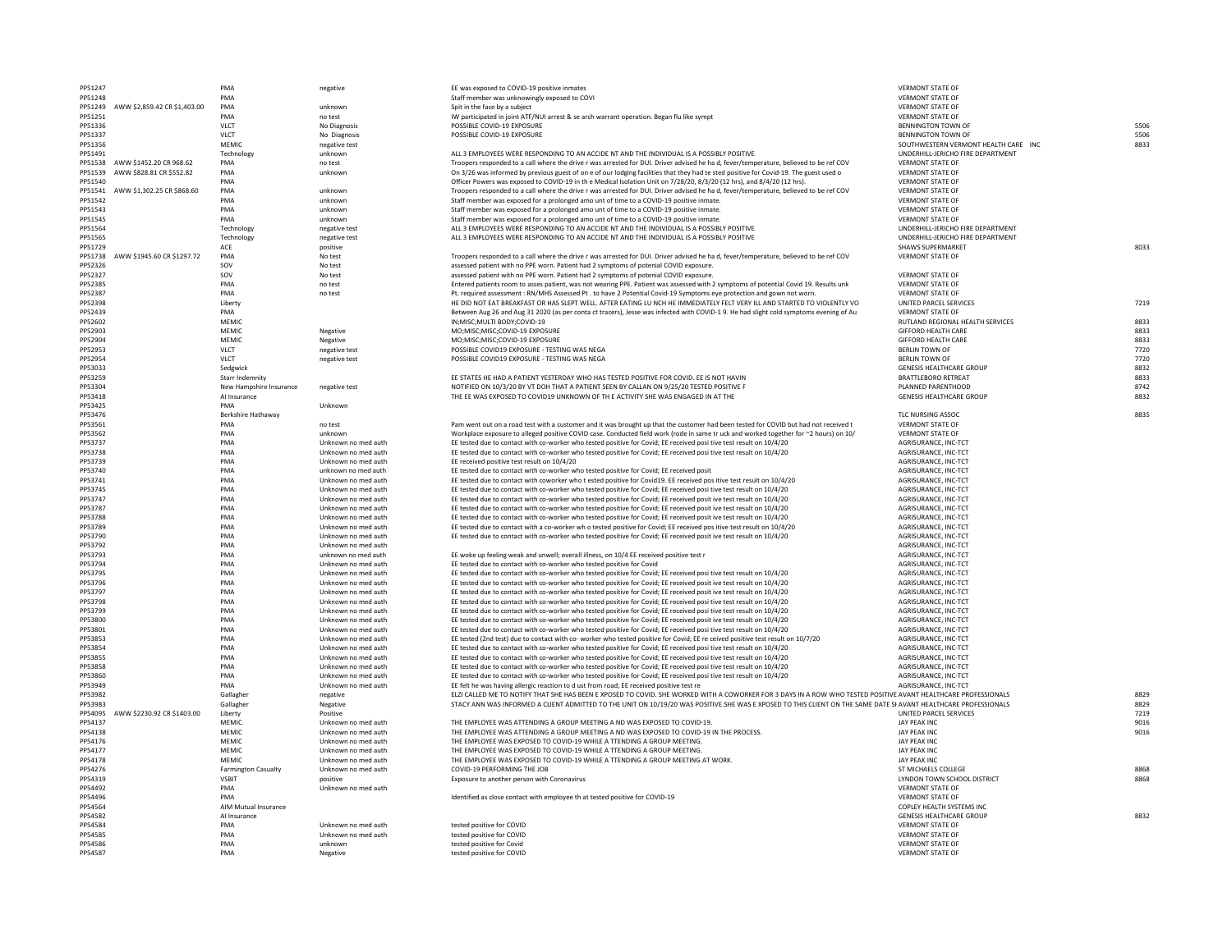| PP51247 |                                      | PMA                        | negative            | EE was exposed to COVID-19 positive inmates                                                                                                                      | <b>VERMONT STATE OF</b>              |      |
|---------|--------------------------------------|----------------------------|---------------------|------------------------------------------------------------------------------------------------------------------------------------------------------------------|--------------------------------------|------|
| PP51248 |                                      | PMA                        |                     | Staff member was unknowingly exposed to COVI                                                                                                                     | <b>VERMONT STATE OF</b>              |      |
|         |                                      |                            |                     |                                                                                                                                                                  |                                      |      |
|         | PP51249 AWW \$2,859.42 CR \$1,403.00 | PMA                        | unknown             | Spit in the face by a subject                                                                                                                                    | <b>VERMONT STATE OF</b>              |      |
| PP51251 |                                      | PMA                        | no test             | IW participated in joint ATF/NUI arrest & se arch warrant operation. Began flu like sympt                                                                        | <b>VERMONT STATE OF</b>              |      |
| PP51336 |                                      | <b>VLCT</b>                | No Diagnosis        | POSSIBLE COVID-19 EXPOSURE                                                                                                                                       | <b>BENNINGTON TOWN OF</b>            | 5506 |
| PP51337 |                                      | <b>VLCT</b>                | No Diagnosis        | POSSIBLE COVID-19 EXPOSURE                                                                                                                                       | <b>BENNINGTON TOWN OF</b>            | 5506 |
|         |                                      |                            |                     |                                                                                                                                                                  |                                      |      |
| PP51356 |                                      | <b>MEMIC</b>               | negative test       |                                                                                                                                                                  | SOUTHWESTERN VERMONT HEALTH CARE INC | 8833 |
| PP51491 |                                      | Technology                 | unknown             | ALL 3 EMPLOYEES WERE RESPONDING TO AN ACCIDE NT AND THE INDIVIDUAL IS A POSSIBLY POSITIVE                                                                        | UNDERHILL-JERICHO FIRE DEPARTMENT    |      |
|         | PP51538 AWW \$1452.20 CR 968.62      | PMA                        | no test             | Troopers responded to a call where the drive r was arrested for DUI. Driver advised he ha d, fever/temperature, believed to be ref COV                           | <b>VERMONT STATE OF</b>              |      |
|         | PP51539 AWW \$828.81 CR \$552.82     | PMA                        | unknown             | On 3/26 was informed by previous guest of on e of our lodging facilities that they had te sted positive for Covid-19. The guest used o                           | <b>VERMONT STATE OF</b>              |      |
|         |                                      |                            |                     |                                                                                                                                                                  |                                      |      |
| PP51540 |                                      | PMA                        |                     | Officer Powers was exposed to COVID-19 in th e Medical Isolation Unit on 7/28/20, 8/3/20 (12 hrs), and 8/4/20 (12 hrs).                                          | <b>VERMONT STATE OF</b>              |      |
|         | PP51541 AWW \$1,302.25 CR \$868.60   | PMA                        | unknown             | Troopers responded to a call where the drive r was arrested for DUI. Driver advised he ha d, fever/temperature, believed to be ref COV                           | <b>VERMONT STATE OF</b>              |      |
| PP51542 |                                      | PMA                        | unknown             | Staff member was exposed for a prolonged amo unt of time to a COVID-19 positive inmate.                                                                          | <b>VERMONT STATE OF</b>              |      |
| PP51543 |                                      | PMA                        | unknown             | Staff member was exposed for a prolonged amo unt of time to a COVID-19 positive inmate.                                                                          | <b>VERMONT STATE OF</b>              |      |
|         |                                      |                            |                     |                                                                                                                                                                  |                                      |      |
| PP51545 |                                      | PMA                        | unknown             | Staff member was exposed for a prolonged amo unt of time to a COVID-19 positive inmate.                                                                          | <b>VERMONT STATE OF</b>              |      |
| PP51564 |                                      | Technology                 | negative test       | ALL 3 EMPLOYEES WERE RESPONDING TO AN ACCIDE NT AND THE INDIVIDUAL IS A POSSIBLY POSITIVE                                                                        | UNDERHILL-JERICHO FIRE DEPARTMENT    |      |
| PP51565 |                                      | Technology                 | negative test       | ALL 3 EMPLOYEES WERE RESPONDING TO AN ACCIDE NT AND THE INDIVIDUAL IS A POSSIBLY POSITIVE                                                                        | UNDERHILL-JERICHO FIRE DEPARTMENT    |      |
|         |                                      |                            |                     |                                                                                                                                                                  |                                      |      |
| PP51729 |                                      | ACE                        | positive            |                                                                                                                                                                  | <b>SHAWS SUPERMARKET</b>             | 8033 |
|         | PP51738 AWW \$1945.60 CR \$1297.72   | PMA                        | No test             | Troopers responded to a call where the drive r was arrested for DUI. Driver advised he had, fever/temperature, believed to be ref COV                            | <b>VERMONT STATE OF</b>              |      |
| PP52326 |                                      | SOV                        | No test             | assessed patient with no PPE worn. Patient had 2 symptoms of potenial COVID exposure.                                                                            |                                      |      |
|         |                                      |                            |                     |                                                                                                                                                                  |                                      |      |
| PP52327 |                                      | SOV                        | No test             | assessed patient with no PPE worn. Patient had 2 symptoms of potenial COVID exposure.                                                                            | <b>VERMONT STATE OF</b>              |      |
| PP52385 |                                      | PMA                        | no test             | Entered patients room to asses patient, was not wearing PPE. Patient was assessed with 2 symptoms of potential Covid 19. Results unk                             | <b>VERMONT STATE OF</b>              |      |
| PP52387 |                                      | PMA                        | no test             | Pt. required assessment: RN/MHS Assessed Pt. to have 2 Potential Covid-19 Symptoms eye protection and gown not worn.                                             | <b>VERMONT STATE OF</b>              |      |
| PP52398 |                                      |                            |                     | HE DID NOT EAT BREAKFAST OR HAS SLEPT WELL. AFTER EATING LU NCH HE IMMEDIATELY FELT VERY ILL AND STARTED TO VIOLENTLY VO                                         | <b>UNITED PARCEL SERVICES</b>        | 7219 |
|         |                                      | Liberty                    |                     |                                                                                                                                                                  |                                      |      |
| PP52439 |                                      | PMA                        |                     | Between Aug 26 and Aug 31 2020 (as per conta ct tracers), Jesse was infected with COVID-1 9. He had slight cold symptoms evening of Au                           | <b>VERMONT STATE OF</b>              |      |
| PP52602 |                                      | <b>MEMIC</b>               |                     | IN; MISC; MULTI BODY; COVID-19                                                                                                                                   | RUTLAND REGIONAL HEALTH SERVICES     | 8833 |
| PP52903 |                                      | <b>MEMIC</b>               | Negative            | MO;MISC;MISC;COVID-19 EXPOSURE                                                                                                                                   | <b>GIFFORD HEALTH CARE</b>           | 8833 |
|         |                                      |                            |                     |                                                                                                                                                                  |                                      |      |
| PP52904 |                                      | <b>MEMIC</b>               | Negative            | MO;MISC;MISC;COVID-19 EXPOSURE                                                                                                                                   | <b>GIFFORD HEALTH CARE</b>           | 8833 |
| PP52953 |                                      | <b>VLCT</b>                | negative test       | POSSIBLE COVID19 EXPOSURE - TESTING WAS NEGA                                                                                                                     | <b>BERLIN TOWN OF</b>                | 7720 |
| PP52954 |                                      | <b>VLCT</b>                | negative test       | POSSIBLE COVID19 EXPOSURE - TESTING WAS NEGA                                                                                                                     | <b>BERLIN TOWN OF</b>                | 7720 |
|         |                                      |                            |                     |                                                                                                                                                                  |                                      |      |
| PP53033 |                                      | Sedgwick                   |                     |                                                                                                                                                                  | <b>GENESIS HEALTHCARE GROUP</b>      | 8832 |
| PP53259 |                                      | <b>Starr Indemnity</b>     |                     | EE STATES HE HAD A PATIENT YESTERDAY WHO HAS TESTED POSITIVE FOR COVID. EE IS NOT HAVIN                                                                          | <b>BRATTLEBORO RETREAT</b>           | 8833 |
| PP53304 |                                      | New Hampshire Insurance    | negative test       | NOTIFIED ON 10/3/20 BY VT DOH THAT A PATIENT SEEN BY CALLAN ON 9/25/20 TESTED POSITIVE F                                                                         | PLANNED PARENTHOOD                   | 8742 |
|         |                                      |                            |                     |                                                                                                                                                                  |                                      |      |
| PP53418 |                                      | Al Insurance               |                     | THE EE WAS EXPOSED TO COVID19 UNKNOWN OF TH E ACTIVITY SHE WAS ENGAGED IN AT THE                                                                                 | <b>GENESIS HEALTHCARE GROUP</b>      | 8832 |
| PP53425 |                                      | <b>PMA</b>                 | Unknown             |                                                                                                                                                                  |                                      |      |
| PP53476 |                                      | Berkshire Hathaway         |                     |                                                                                                                                                                  | TLC NURSING ASSOC                    | 8835 |
| PP53561 |                                      | PMA                        | no test             | Pam went out on a road test with a customer and it was brought up that the customer had been tested for COVID but had not received t                             | <b>VERMONT STATE OF</b>              |      |
|         |                                      |                            |                     |                                                                                                                                                                  |                                      |      |
| PP53562 |                                      | PMA                        | unknown             | Workplace exposure to alleged positive COVID case. Conducted field work (rode in same tr uck and worked together for ~2 hours) on 10/                            | <b>VERMONT STATE OF</b>              |      |
| PP53737 |                                      | PMA                        | Unknown no med auth | EE tested due to contact with co-worker who tested positive for Covid; EE received posi tive test result on 10/4/20                                              | AGRISURANCE, INC-TCT                 |      |
| PP53738 |                                      | PMA                        | Unknown no med auth | EE tested due to contact with co-worker who tested positive for Covid; EE received posi tive test result on 10/4/20                                              | AGRISURANCE, INC-TCT                 |      |
|         |                                      |                            |                     |                                                                                                                                                                  |                                      |      |
| PP53739 |                                      | PMA                        | Unknown no med auth | EE received positive test result on 10/4/20                                                                                                                      | AGRISURANCE, INC-TCT                 |      |
| PP53740 |                                      | PMA                        | unknown no med auth | EE tested due to contact with co-worker who tested positive for Covid; EE received posit                                                                         | AGRISURANCE, INC-TCT                 |      |
| PP53741 |                                      | PMA                        | Unknown no med auth | EE tested due to contact with coworker who t ested positive for Covid19. EE received pos itive test result on 10/4/20                                            | AGRISURANCE, INC-TCT                 |      |
|         |                                      | PMA                        | Unknown no med auth |                                                                                                                                                                  | AGRISURANCE, INC-TCT                 |      |
| PP53745 |                                      |                            |                     | EE tested due to contact with co-worker who tested positive for Covid; EE received posi tive test result on 10/4/20                                              |                                      |      |
| PP53747 |                                      | PMA                        | Unknown no med auth | EE tested due to contact with co-worker who tested positive for Covid; EE received posit ive test result on 10/4/20                                              | AGRISURANCE, INC-TCT                 |      |
| PP53787 |                                      | PMA                        | Unknown no med auth | EE tested due to contact with co-worker who tested positive for Covid; EE received posit ive test result on 10/4/20                                              | AGRISURANCE, INC-TCT                 |      |
| PP53788 |                                      | PMA                        | Unknown no med auth | EE tested due to contact with co-worker who tested positive for Covid; EE received posit ive test result on 10/4/20                                              | AGRISURANCE, INC-TCT                 |      |
|         |                                      |                            |                     |                                                                                                                                                                  |                                      |      |
| PP53789 |                                      | PMA                        | Unknown no med auth | EE tested due to contact with a co-worker wh o tested positive for Covid; EE received pos itive test result on 10/4/20                                           | AGRISURANCE, INC-TCT                 |      |
| PP53790 |                                      | PMA                        | Unknown no med auth | EE tested due to contact with co-worker who tested positive for Covid; EE received posit ive test result on 10/4/20                                              | AGRISURANCE, INC-TCT                 |      |
| PP53792 |                                      | PMA                        | Unknown no med auth |                                                                                                                                                                  | AGRISURANCE, INC-TCT                 |      |
|         |                                      |                            | unknown no med auth |                                                                                                                                                                  |                                      |      |
| PP53793 |                                      | PMA                        |                     | EE woke up feeling weak and unwell; overall illness, on 10/4 EE received positive test r                                                                         | AGRISURANCE, INC-TCT                 |      |
| PP53794 |                                      | PMA                        | Unknown no med auth | EE tested due to contact with co-worker who tested positive for Covid                                                                                            | AGRISURANCE, INC-TCT                 |      |
| PP53795 |                                      | PMA                        | Unknown no med auth | EE tested due to contact with co-worker who tested positive for Covid; EE received posi tive test result on 10/4/20                                              | AGRISURANCE, INC-TCT                 |      |
| PP53796 |                                      | PMA                        | Unknown no med auth | EE tested due to contact with co-worker who tested positive for Covid; EE received posit ive test result on 10/4/20                                              | AGRISURANCE, INC-TCT                 |      |
|         |                                      |                            |                     |                                                                                                                                                                  |                                      |      |
| PP53797 |                                      | PMA                        | Unknown no med auth | EE tested due to contact with co-worker who tested positive for Covid; EE received posit ive test result on 10/4/20                                              | AGRISURANCE, INC-TCT                 |      |
| PP53798 |                                      | PMA                        | Unknown no med auth | EE tested due to contact with co-worker who tested positive for Covid; EE received posi tive test result on 10/4/20                                              | AGRISURANCE, INC-TCT                 |      |
| PP53799 |                                      | PMA                        | Unknown no med auth | EE tested due to contact with co-worker who tested positive for Covid; EE received posi tive test result on 10/4/20                                              | AGRISURANCE, INC-TCT                 |      |
| PP53800 |                                      | PMA                        | Unknown no med auth | EE tested due to contact with co-worker who tested positive for Covid; EE received posit ive test result on 10/4/20                                              | AGRISURANCE, INC-TCT                 |      |
|         |                                      |                            |                     |                                                                                                                                                                  |                                      |      |
| PP53801 |                                      | PMA                        | Unknown no med auth | EE tested due to contact with co-worker who tested positive for Covid; EE received posi tive test result on 10/4/20                                              | AGRISURANCE, INC-TCT                 |      |
| PP53853 |                                      | PMA                        | Unknown no med auth | EE tested (2nd test) due to contact with co-worker who tested positive for Covid; EE re ceived positive test result on 10/7/20                                   | AGRISURANCE, INC-TCT                 |      |
| PP53854 |                                      | PMA                        | Unknown no med auth | EE tested due to contact with co-worker who tested positive for Covid; EE received posi tive test result on 10/4/20                                              | AGRISURANCE, INC-TCT                 |      |
| PP53855 |                                      | PMA                        | Unknown no med auth | EE tested due to contact with co-worker who tested positive for Covid; EE received posi tive test result on 10/4/20                                              | AGRISURANCE, INC-TCT                 |      |
|         |                                      |                            |                     |                                                                                                                                                                  |                                      |      |
| PP53858 |                                      | PMA                        | Unknown no med auth | EE tested due to contact with co-worker who tested positive for Covid; EE received posi tive test result on 10/4/20                                              | AGRISURANCE, INC-TCT                 |      |
| PP53860 |                                      | PMA                        | Unknown no med auth | EE tested due to contact with co-worker who tested positive for Covid; EE received posi tive test result on 10/4/20                                              | AGRISURANCE, INC-TCT                 |      |
| PP53949 |                                      | PMA                        | Unknown no med auth | EE felt he was having allergic reaction to d ust from road; EE received positive test re                                                                         | AGRISURANCE, INC-TCT                 |      |
|         |                                      |                            |                     |                                                                                                                                                                  |                                      |      |
| PP53982 |                                      | Gallagher                  | negative            | ELZI CALLED ME TO NOTIFY THAT SHE HAS BEEN E XPOSED TO COVID. SHE WORKED WITH A COWORKER FOR 3 DAYS IN A ROW WHO TESTED POSITIVE AVANT HEALTHCARE PROFESSIONALS  |                                      | 8829 |
| PP53983 |                                      | Gallagher                  | Negative            | STACY ANN WAS INFORMED A CLIENT ADMITTED TO THE UNIT ON 10/19/20 WAS POSITIVE.SHE WAS E XPOSED TO THIS CLIENT ON THE SAME DATE SI AVANT HEALTHCARE PROFESSIONALS |                                      | 8829 |
|         | PP54095 AWW \$2230.92 CR \$1403.00   | Liberty                    | Positive            |                                                                                                                                                                  | UNITED PARCEL SERVICES               | 7219 |
| PP54137 |                                      | <b>MEMIC</b>               | Unknown no med auth | THE EMPLOYEE WAS ATTENDING A GROUP MEETING A ND WAS EXPOSED TO COVID-19.                                                                                         | JAY PEAK INC                         | 9016 |
|         |                                      |                            |                     |                                                                                                                                                                  |                                      |      |
| PP54138 |                                      | <b>MEMIC</b>               | Unknown no med auth | THE EMPLOYEE WAS ATTENDING A GROUP MEETING A ND WAS EXPOSED TO COVID-19 IN THE PROCESS.                                                                          | JAY PEAK INC                         | 9016 |
| PP54176 |                                      | <b>MEMIC</b>               | Unknown no med auth | THE EMPLOYEE WAS EXPOSED TO COVID-19 WHILE A TTENDING A GROUP MEETING.                                                                                           | JAY PEAK INC                         |      |
| PP54177 |                                      | <b>MEMIC</b>               | Unknown no med auth | THE EMPLOYEE WAS EXPOSED TO COVID-19 WHILE A TTENDING A GROUP MEETING.                                                                                           | JAY PEAK INC                         |      |
|         |                                      |                            |                     |                                                                                                                                                                  |                                      |      |
| PP54178 |                                      | <b>MEMIC</b>               | Unknown no med auth | THE EMPLOYEE WAS EXPOSED TO COVID-19 WHILE A TTENDING A GROUP MEETING AT WORK.                                                                                   | JAY PEAK INC                         |      |
| PP54276 |                                      | <b>Farmington Casualty</b> | Unknown no med auth | COVID-19 PERFORMING THE JOB                                                                                                                                      | ST MICHAELS COLLEGE                  | 8868 |
| PP54319 |                                      | <b>VSBIT</b>               | positive            | Exposure to another person with Coronavirus                                                                                                                      | LYNDON TOWN SCHOOL DISTRICT          | 8868 |
|         |                                      |                            | Unknown no med auth |                                                                                                                                                                  |                                      |      |
| PP54492 |                                      | PMA                        |                     |                                                                                                                                                                  | <b>VERMONT STATE OF</b>              |      |
| PP54496 |                                      | PMA                        |                     | Identified as close contact with employee th at tested positive for COVID-19                                                                                     | <b>VERMONT STATE OF</b>              |      |
| PP54564 |                                      | AIM Mutual Insurance       |                     |                                                                                                                                                                  | COPLEY HEALTH SYSTEMS INC            |      |
| PP54582 |                                      | Al Insurance               |                     |                                                                                                                                                                  | <b>GENESIS HEALTHCARE GROUP</b>      | 8832 |
|         |                                      |                            |                     |                                                                                                                                                                  |                                      |      |
| PP54584 |                                      | PMA                        | Unknown no med auth | tested positive for COVID                                                                                                                                        | <b>VERMONT STATE OF</b>              |      |
| PP54585 |                                      | PMA                        | Unknown no med auth | tested positive for COVID                                                                                                                                        | <b>VERMONT STATE OF</b>              |      |
| PP54586 |                                      | PMA                        | unknown             | tested positive for Covid                                                                                                                                        | <b>VERMONT STATE OF</b>              |      |
|         |                                      |                            |                     |                                                                                                                                                                  |                                      |      |

| PP51247            |                              | <b>PMA</b>                 | negative                                   | EE was exposed to COVID-19 positive inmates                                                                                                                                                                     | <b>VERMONT STATE OF</b>                              |
|--------------------|------------------------------|----------------------------|--------------------------------------------|-----------------------------------------------------------------------------------------------------------------------------------------------------------------------------------------------------------------|------------------------------------------------------|
| PP51248            |                              | <b>PMA</b>                 |                                            | Staff member was unknowingly exposed to COVI                                                                                                                                                                    | <b>VERMONT STATE OF</b>                              |
| PP51249            | AWW \$2,859.42 CR \$1,403.00 | <b>PMA</b>                 | unknown                                    | Spit in the face by a subject                                                                                                                                                                                   | <b>VERMONT STATE OF</b>                              |
| PP51251            |                              | PMA                        | no test                                    | IW participated in joint ATF/NUI arrest & se arch warrant operation. Began flu like sympt                                                                                                                       | <b>VERMONT STATE OF</b>                              |
| PP51336            |                              | <b>VLCT</b>                | No Diagnosis                               | POSSIBLE COVID-19 EXPOSURE                                                                                                                                                                                      | <b>BENNINGTON TOWN</b>                               |
| PP51337            |                              | <b>VLCT</b>                | No Diagnosis                               | POSSIBLE COVID-19 EXPOSURE                                                                                                                                                                                      | <b>BENNINGTON TOWN</b>                               |
| PP51356            |                              | <b>MEMIC</b>               | negative test                              |                                                                                                                                                                                                                 | SOUTHWESTERN VE                                      |
| PP51491            |                              | Technology                 | unknown                                    | ALL 3 EMPLOYEES WERE RESPONDING TO AN ACCIDE NT AND THE INDIVIDUAL IS A POSSIBLY POSITIVE                                                                                                                       | UNDERHILL-JERICHO                                    |
| PP51538            | AWW \$1452.20 CR 968.62      | PMA                        | no test                                    | Troopers responded to a call where the drive r was arrested for DUI. Driver advised he had, fever/temperature, believed to be ref COV                                                                           | <b>VERMONT STATE OF</b>                              |
| PP51539            | AWW \$828.81 CR \$552.82     | PMA                        | unknown                                    | On 3/26 was informed by previous guest of on e of our lodging facilities that they had te sted positive for Covid-19. The guest used o                                                                          | <b>VERMONT STATE OF</b>                              |
| PP51540            |                              | <b>PMA</b>                 |                                            | Officer Powers was exposed to COVID-19 in th e Medical Isolation Unit on 7/28/20, 8/3/20 (12 hrs), and 8/4/20 (12 hrs).                                                                                         | <b>VERMONT STATE OF</b>                              |
| PP51541            | AWW \$1,302.25 CR \$868.60   | PMA                        | unknown                                    | Troopers responded to a call where the drive r was arrested for DUI. Driver advised he ha d, fever/temperature, believed to be ref COV                                                                          | <b>VERMONT STATE OF</b>                              |
| PP51542            |                              | <b>PMA</b>                 | unknown                                    | Staff member was exposed for a prolonged amo unt of time to a COVID-19 positive inmate.                                                                                                                         | <b>VERMONT STATE OF</b><br><b>VERMONT STATE OF</b>   |
| PP51543<br>PP51545 |                              | <b>PMA</b><br><b>PMA</b>   | unknown<br>unknown                         | Staff member was exposed for a prolonged amo unt of time to a COVID-19 positive inmate.<br>Staff member was exposed for a prolonged amo unt of time to a COVID-19 positive inmate.                              | <b>VERMONT STATE OF</b>                              |
| PP51564            |                              | Technology                 | negative test                              | ALL 3 EMPLOYEES WERE RESPONDING TO AN ACCIDE NT AND THE INDIVIDUAL IS A POSSIBLY POSITIVE                                                                                                                       | UNDERHILL-JERICHO                                    |
| PP51565            |                              | Technology                 | negative test                              | ALL 3 EMPLOYEES WERE RESPONDING TO AN ACCIDE NT AND THE INDIVIDUAL IS A POSSIBLY POSITIVE                                                                                                                       | UNDERHILL-JERICHO                                    |
| PP51729            |                              | ACE                        | positive                                   |                                                                                                                                                                                                                 | <b>SHAWS SUPERMARK</b>                               |
| PP51738            | AWW \$1945.60 CR \$1297.72   | PMA                        | No test                                    | Troopers responded to a call where the drive r was arrested for DUI. Driver advised he had, fever/temperature, believed to be ref COV                                                                           | <b>VERMONT STATE OF</b>                              |
| PP52326            |                              | SOV                        | No test                                    | assessed patient with no PPE worn. Patient had 2 symptoms of potenial COVID exposure.                                                                                                                           |                                                      |
| PP52327            |                              | SOV                        | No test                                    | assessed patient with no PPE worn. Patient had 2 symptoms of potenial COVID exposure.                                                                                                                           | <b>VERMONT STATE OF</b>                              |
| PP52385            |                              | <b>PMA</b>                 | no test                                    | Entered patients room to asses patient, was not wearing PPE. Patient was assessed with 2 symptoms of potential Covid 19. Results unk                                                                            | <b>VERMONT STATE OF</b>                              |
| PP52387            |                              | PMA                        | no test                                    | Pt. required assessment: RN/MHS Assessed Pt. to have 2 Potential Covid-19 Symptoms eye protection and gown not worn.                                                                                            | <b>VERMONT STATE OF</b>                              |
| PP52398            |                              | Liberty                    |                                            | HE DID NOT EAT BREAKFAST OR HAS SLEPT WELL. AFTER EATING LU NCH HE IMMEDIATELY FELT VERY ILL AND STARTED TO VIOLENTLY VO                                                                                        | UNITED PARCEL SER                                    |
| PP52439            |                              | PMA                        |                                            | Between Aug 26 and Aug 31 2020 (as per conta ct tracers), Jesse was infected with COVID-1 9. He had slight cold symptoms evening of Au                                                                          | <b>VERMONT STATE OF</b>                              |
| PP52602            |                              | <b>MEMIC</b>               |                                            | IN; MISC; MULTI BODY; COVID-19                                                                                                                                                                                  | <b>RUTLAND REGIONAL</b>                              |
| PP52903            |                              | <b>MEMIC</b>               | Negative                                   | MO;MISC;MISC;COVID-19 EXPOSURE                                                                                                                                                                                  | <b>GIFFORD HEALTH CA</b>                             |
| PP52904            |                              | <b>MEMIC</b>               | Negative                                   | MO;MISC;MISC;COVID-19 EXPOSURE                                                                                                                                                                                  | <b>GIFFORD HEALTH CA</b>                             |
| PP52953            |                              | <b>VLCT</b>                | negative test                              | POSSIBLE COVID19 EXPOSURE - TESTING WAS NEGA                                                                                                                                                                    | <b>BERLIN TOWN OF</b>                                |
| PP52954            |                              | <b>VLCT</b>                | negative test                              | POSSIBLE COVID19 EXPOSURE - TESTING WAS NEGA                                                                                                                                                                    | <b>BERLIN TOWN OF</b>                                |
| PP53033            |                              | Sedgwick                   |                                            |                                                                                                                                                                                                                 | <b>GENESIS HEALTHCAR</b>                             |
| PP53259            |                              | <b>Starr Indemnity</b>     |                                            | EE STATES HE HAD A PATIENT YESTERDAY WHO HAS TESTED POSITIVE FOR COVID. EE IS NOT HAVIN                                                                                                                         | <b>BRATTLEBORO RETR</b>                              |
| PP53304            |                              | New Hampshire Insurance    | negative test                              | NOTIFIED ON 10/3/20 BY VT DOH THAT A PATIENT SEEN BY CALLAN ON 9/25/20 TESTED POSITIVE F                                                                                                                        | PLANNED PARENTHO                                     |
| PP53418            |                              | Al Insurance               |                                            | THE EE WAS EXPOSED TO COVID19 UNKNOWN OF TH E ACTIVITY SHE WAS ENGAGED IN AT THE                                                                                                                                | <b>GENESIS HEALTHCAR</b>                             |
| PP53425            |                              | <b>PMA</b>                 | Unknown                                    |                                                                                                                                                                                                                 |                                                      |
| PP53476            |                              | Berkshire Hathaway         |                                            |                                                                                                                                                                                                                 | TLC NURSING ASSOC                                    |
| PP53561            |                              | PMA                        | no test                                    | Pam went out on a road test with a customer and it was brought up that the customer had been tested for COVID but had not received t                                                                            | <b>VERMONT STATE OF</b>                              |
| PP53562            |                              | <b>PMA</b>                 | unknown                                    | Workplace exposure to alleged positive COVID case. Conducted field work (rode in same tr uck and worked together for ~2 hours) on 10/                                                                           | <b>VERMONT STATE OF</b>                              |
| PP53737            |                              | <b>PMA</b>                 | Unknown no med auth                        | EE tested due to contact with co-worker who tested positive for Covid; EE received posi tive test result on 10/4/20                                                                                             | <b>AGRISURANCE, INC-</b>                             |
| PP53738<br>PP53739 |                              | <b>PMA</b><br><b>PMA</b>   | Unknown no med auth<br>Unknown no med auth | EE tested due to contact with co-worker who tested positive for Covid; EE received posi tive test result on 10/4/20                                                                                             | <b>AGRISURANCE, INC-</b>                             |
| PP53740            |                              | <b>PMA</b>                 | unknown no med auth                        | EE received positive test result on 10/4/20<br>EE tested due to contact with co-worker who tested positive for Covid; EE received posit                                                                         | AGRISURANCE, INC-<br>AGRISURANCE, INC-               |
| PP53741            |                              | <b>PMA</b>                 | Unknown no med auth                        | EE tested due to contact with coworker who t ested positive for Covid19. EE received pos itive test result on 10/4/20                                                                                           | AGRISURANCE, INC-                                    |
| PP53745            |                              | <b>PMA</b>                 | Unknown no med auth                        | EE tested due to contact with co-worker who tested positive for Covid; EE received posi tive test result on 10/4/20                                                                                             | <b>AGRISURANCE, INC-</b>                             |
| PP53747            |                              | <b>PMA</b>                 | Unknown no med auth                        | EE tested due to contact with co-worker who tested positive for Covid; EE received posit ive test result on 10/4/20                                                                                             | AGRISURANCE, INC-                                    |
| PP53787            |                              | <b>PMA</b>                 | Unknown no med auth                        | EE tested due to contact with co-worker who tested positive for Covid; EE received posit ive test result on 10/4/20                                                                                             | AGRISURANCE, INC-                                    |
| PP53788            |                              | <b>PMA</b>                 | Unknown no med auth                        | EE tested due to contact with co-worker who tested positive for Covid; EE received posit ive test result on 10/4/20                                                                                             | <b>AGRISURANCE, INC-</b>                             |
| PP53789            |                              | <b>PMA</b>                 | Unknown no med auth                        | EE tested due to contact with a co-worker wh o tested positive for Covid; EE received pos itive test result on 10/4/20                                                                                          | <b>AGRISURANCE, INC-</b>                             |
| PP53790            |                              | <b>PMA</b>                 | Unknown no med auth                        | EE tested due to contact with co-worker who tested positive for Covid; EE received posit ive test result on 10/4/20                                                                                             | AGRISURANCE, INC-                                    |
| PP53792            |                              | <b>PMA</b>                 | Unknown no med auth                        |                                                                                                                                                                                                                 | AGRISURANCE, INC-                                    |
| PP53793            |                              | <b>PMA</b>                 | unknown no med auth                        | EE woke up feeling weak and unwell; overall illness, on 10/4 EE received positive test r                                                                                                                        | AGRISURANCE, INC-                                    |
| PP53794            |                              | <b>PMA</b>                 | Unknown no med auth                        | EE tested due to contact with co-worker who tested positive for Covid                                                                                                                                           | <b>AGRISURANCE, INC-</b>                             |
| PP53795            |                              | <b>PMA</b>                 | Unknown no med auth                        | EE tested due to contact with co-worker who tested positive for Covid; EE received posi tive test result on 10/4/20                                                                                             | AGRISURANCE, INC-                                    |
| PP53796            |                              | <b>PMA</b>                 | Unknown no med auth                        | EE tested due to contact with co-worker who tested positive for Covid; EE received posit ive test result on 10/4/20                                                                                             | AGRISURANCE, INC-                                    |
| PP53797            |                              | <b>PMA</b>                 | Unknown no med auth                        | EE tested due to contact with co-worker who tested positive for Covid; EE received posit ive test result on 10/4/20                                                                                             | AGRISURANCE, INC-                                    |
| PP53798            |                              | <b>PMA</b>                 | Unknown no med auth                        | EE tested due to contact with co-worker who tested positive for Covid; EE received posi tive test result on 10/4/20                                                                                             | <b>AGRISURANCE, INC-</b>                             |
| PP53799            |                              | <b>PMA</b>                 | Unknown no med auth                        | EE tested due to contact with co-worker who tested positive for Covid; EE received posi tive test result on 10/4/20                                                                                             | <b>AGRISURANCE, INC-</b>                             |
| PP53800            |                              | <b>PMA</b>                 | Unknown no med auth                        | EE tested due to contact with co-worker who tested positive for Covid; EE received posit ive test result on 10/4/20                                                                                             | <b>AGRISURANCE, INC-</b>                             |
| PP53801            |                              | <b>PMA</b>                 | Unknown no med auth                        | EE tested due to contact with co-worker who tested positive for Covid; EE received posi tive test result on 10/4/20                                                                                             | AGRISURANCE, INC-                                    |
| PP53853            |                              | <b>PMA</b>                 | Unknown no med auth                        | EE tested (2nd test) due to contact with co-worker who tested positive for Covid; EE re ceived positive test result on 10/7/20                                                                                  | AGRISURANCE, INC-                                    |
| PP53854            |                              | PMA                        | Unknown no med auth                        | EE tested due to contact with co-worker who tested positive for Covid; EE received posi tive test result on 10/4/20                                                                                             | <b>AGRISURANCE, INC-</b>                             |
| PP53855            |                              | <b>PMA</b>                 | Unknown no med auth                        | EE tested due to contact with co-worker who tested positive for Covid; EE received posi tive test result on 10/4/20                                                                                             | AGRISURANCE, INC-                                    |
| PP53858<br>PP53860 |                              | <b>PMA</b><br><b>PMA</b>   | Unknown no med auth<br>Unknown no med auth | EE tested due to contact with co-worker who tested positive for Covid; EE received posi tive test result on 10/4/20                                                                                             | <b>AGRISURANCE, INC-</b><br><b>AGRISURANCE, INC-</b> |
| PP53949            |                              | <b>PMA</b>                 | Unknown no med auth                        | EE tested due to contact with co-worker who tested positive for Covid; EE received posi tive test result on 10/4/20<br>EE felt he was having allergic reaction to d ust from road; EE received positive test re | AGRISURANCE, INC-                                    |
| PP53982            |                              | Gallagher                  | negative                                   | ELZI CALLED ME TO NOTIFY THAT SHE HAS BEEN E XPOSED TO COVID. SHE WORKED WITH A COWORKER FOR 3 DAYS IN A ROW WHO TESTED POSITIVE AVANT HEALTHCARR                                                               |                                                      |
| PP53983            |                              | Gallagher                  | Negative                                   | STACY ANN WAS INFORMED A CLIENT ADMITTED TO THE UNIT ON 10/19/20 WAS POSITIVE.SHE WAS E XPOSED TO THIS CLIENT ON THE SAME DATE SI AVANT HEALTHCARE                                                              |                                                      |
| PP54095            | AWW \$2230.92 CR \$1403.00   | Liberty                    | Positive                                   |                                                                                                                                                                                                                 | <b>UNITED PARCEL SERY</b>                            |
| PP54137            |                              | <b>MEMIC</b>               | Unknown no med auth                        | THE EMPLOYEE WAS ATTENDING A GROUP MEETING A ND WAS EXPOSED TO COVID-19.                                                                                                                                        | JAY PEAK INC                                         |
| PP54138            |                              | <b>MEMIC</b>               | Unknown no med auth                        | THE EMPLOYEE WAS ATTENDING A GROUP MEETING A ND WAS EXPOSED TO COVID-19 IN THE PROCESS.                                                                                                                         | JAY PEAK INC                                         |
| PP54176            |                              | <b>MEMIC</b>               | Unknown no med auth                        | THE EMPLOYEE WAS EXPOSED TO COVID-19 WHILE A TTENDING A GROUP MEETING.                                                                                                                                          | JAY PEAK INC                                         |
| PP54177            |                              | <b>MEMIC</b>               | Unknown no med auth                        | THE EMPLOYEE WAS EXPOSED TO COVID-19 WHILE A TTENDING A GROUP MEETING.                                                                                                                                          | JAY PEAK INC                                         |
| PP54178            |                              | <b>MEMIC</b>               | Unknown no med auth                        | THE EMPLOYEE WAS EXPOSED TO COVID-19 WHILE A TTENDING A GROUP MEETING AT WORK.                                                                                                                                  | JAY PEAK INC                                         |
| PP54276            |                              | <b>Farmington Casualty</b> | Unknown no med auth                        | COVID-19 PERFORMING THE JOB                                                                                                                                                                                     | ST MICHAELS COLLE                                    |
| PP54319            |                              | <b>VSBIT</b>               | positive                                   | Exposure to another person with Coronavirus                                                                                                                                                                     | LYNDON TOWN SCH                                      |
| PP54492            |                              | <b>PMA</b>                 | Unknown no med auth                        |                                                                                                                                                                                                                 | <b>VERMONT STATE OF</b>                              |
| PP54496            |                              | PMA                        |                                            | Identified as close contact with employee th at tested positive for COVID-19                                                                                                                                    | <b>VERMONT STATE OF</b>                              |
| PP54564            |                              | AIM Mutual Insurance       |                                            |                                                                                                                                                                                                                 | <b>COPLEY HEALTH SYS</b>                             |
| PP54582            |                              | Al Insurance               |                                            |                                                                                                                                                                                                                 | <b>GENESIS HEALTHCAR</b>                             |
| PP54584            |                              | <b>PMA</b>                 | Unknown no med auth                        | tested positive for COVID                                                                                                                                                                                       | <b>VERMONT STATE OF</b>                              |
| PP54585            |                              | <b>PMA</b>                 | Unknown no med auth                        | tested positive for COVID                                                                                                                                                                                       | <b>VERMONT STATE OF</b>                              |
| PP54586            |                              | <b>PMA</b>                 | unknown                                    | tested positive for Covid                                                                                                                                                                                       | <b>VERMONT STATE OF</b>                              |
| PP54587            |                              | PMA                        | Negative                                   | tested positive for COVID                                                                                                                                                                                       | <b>VERMONT STATE OF</b>                              |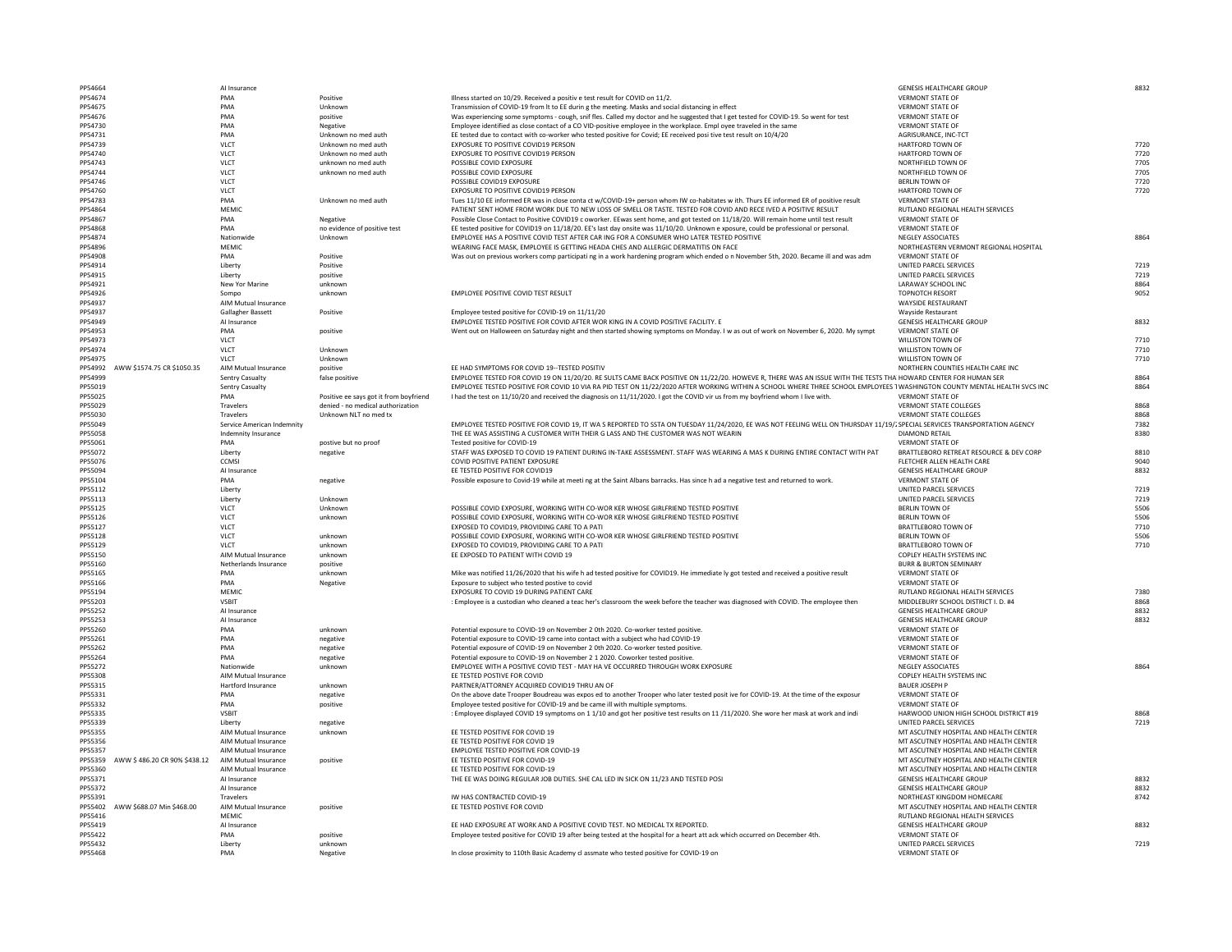| PP54664            |                              | Al Insurance                   |
|--------------------|------------------------------|--------------------------------|
| PP54674<br>PP54675 |                              | <b>PMA</b><br><b>PMA</b>       |
| PP54676            |                              | <b>PMA</b>                     |
| PP54730            |                              | <b>PMA</b>                     |
| PP54731            |                              | <b>PMA</b>                     |
| PP54739<br>PP54740 |                              | <b>VLCT</b><br><b>VLCT</b>     |
| PP54743            |                              | <b>VLCT</b>                    |
| PP54744            |                              | <b>VLCT</b>                    |
| PP54746            |                              | <b>VLCT</b>                    |
| PP54760<br>PP54783 |                              | <b>VLCT</b><br><b>PMA</b>      |
| PP54864            |                              | <b>MEMIC</b>                   |
| PP54867            |                              | <b>PMA</b>                     |
| PP54868            |                              | <b>PMA</b>                     |
| PP54874<br>PP54896 |                              | Nationwide<br><b>MEMIC</b>     |
| PP54908            |                              | <b>PMA</b>                     |
| PP54914            |                              | Liberty                        |
| PP54915            |                              | Liberty                        |
| PP54921            |                              | New Yor Mar                    |
| PP54926<br>PP54937 |                              | Sompo<br>AIM Mutual II         |
| PP54937            |                              | <b>Gallagher Bas</b>           |
| PP54949            |                              | Al Insurance                   |
| PP54953            |                              | <b>PMA</b>                     |
| PP54973            |                              | <b>VLCT</b>                    |
| PP54974<br>PP54975 |                              | <b>VLCT</b><br><b>VLCT</b>     |
| PP54992            | AWW \$1574.75 CR \$1050.35   | AIM Mutual II                  |
| PP54999            |                              | <b>Sentry Casual</b>           |
| PP55019            |                              | <b>Sentry Casual</b>           |
| PP55025<br>PP55029 |                              | <b>PMA</b><br><b>Travelers</b> |
| PP55030            |                              | <b>Travelers</b>               |
| PP55049            |                              | Service Ameri                  |
| PP55058            |                              | Indemnity Ins                  |
| PP55061            |                              | <b>PMA</b>                     |
| PP55072<br>PP55076 |                              | Liberty<br><b>CCMSI</b>        |
| PP55094            |                              | Al Insurance                   |
| PP55104            |                              | <b>PMA</b>                     |
| PP55112            |                              | Liberty                        |
| PP55113<br>PP55125 |                              | Liberty<br><b>VLCT</b>         |
| PP55126            |                              | <b>VLCT</b>                    |
| PP55127            |                              | <b>VLCT</b>                    |
| PP55128            |                              | <b>VLCT</b>                    |
| PP55129<br>PP55150 |                              | <b>VLCT</b><br>AIM Mutual II   |
| PP55160            |                              | Netherlands I                  |
| PP55165            |                              | <b>PMA</b>                     |
| PP55166            |                              | <b>PMA</b>                     |
| PP55194            |                              | <b>MEMIC</b>                   |
| PP55203<br>PP55252 |                              | <b>VSBIT</b><br>Al Insurance   |
| PP55253            |                              | Al Insurance                   |
| PP55260            |                              | <b>PMA</b>                     |
| PP55261            |                              | <b>PMA</b>                     |
| PP55262<br>PP55264 |                              | <b>PMA</b><br><b>PMA</b>       |
| PP55272            |                              | Nationwide                     |
| PP55308            |                              | AIM Mutual II                  |
| PP55315            |                              | Hartford Insu                  |
| PP55331            |                              | <b>PMA</b>                     |
| PP55332<br>PP55335 |                              | <b>PMA</b><br><b>VSBIT</b>     |
| PP55339            |                              | Liberty                        |
| PP55355            |                              | AIM Mutual I                   |
| PP55356            |                              | AIM Mutual II                  |
| PP55357            |                              | AIM Mutual II                  |
| PP55359<br>PP55360 | AWW \$486.20 CR 90% \$438.12 | AIM Mutual II<br>AIM Mutual II |
| PP55371            |                              | Al Insurance                   |
| PP55372            |                              | Al Insurance                   |
| PP55391            |                              | <b>Travelers</b>               |
| PP55402<br>PP55416 | AWW \$688.07 Min \$468.00    | AIM Mutual II<br><b>MEMIC</b>  |
| PP55419            |                              | Al Insurance                   |
| PP55422            |                              | <b>PMA</b>                     |
| PP55432            |                              | Liberty                        |
| PP55468            |                              | <b>PMA</b>                     |

Pegative In close proximity to 110th Basic Academy cl assmate Megative

| PP54664                                             |                                       | Al Insurance               |                                        |                                                                                                                                                                           | <b>GENESIS HEALTHCARE GROUP</b>                   | 8832 |
|-----------------------------------------------------|---------------------------------------|----------------------------|----------------------------------------|---------------------------------------------------------------------------------------------------------------------------------------------------------------------------|---------------------------------------------------|------|
| PP54674                                             |                                       | PMA                        | Positive                               | Illness started on 10/29. Received a positiv e test result for COVID on 11/2.                                                                                             | <b>VERMONT STATE OF</b>                           |      |
| PP54675                                             |                                       | PMA                        | Unknown                                | Transmission of COVID-19 from It to EE during the meeting. Masks and social distancing in effect                                                                          | <b>VERMONT STATE OF</b>                           |      |
|                                                     |                                       |                            |                                        |                                                                                                                                                                           |                                                   |      |
| PP54676                                             |                                       | PMA                        | positive                               | Was experiencing some symptoms - cough, snif fles. Called my doctor and he suggested that I get tested for COVID-19. So went for test                                     | <b>VERMONT STATE OF</b>                           |      |
| PP54730                                             |                                       | PMA                        | Negative                               | Employee identified as close contact of a CO VID-positive employee in the workplace. Employee traveled in the same                                                        | <b>VERMONT STATE OF</b>                           |      |
| PP54731                                             |                                       | PMA                        | Unknown no med auth                    | EE tested due to contact with co-worker who tested positive for Covid; EE received posi tive test result on 10/4/20                                                       | <b>AGRISURANCE, INC-TCT</b>                       |      |
| PP54739                                             |                                       | <b>VLCT</b>                | Unknown no med auth                    | EXPOSURE TO POSITIVE COVID19 PERSON                                                                                                                                       | <b>HARTFORD TOWN OF</b>                           | 7720 |
| PP54740                                             |                                       | <b>VLCT</b>                | Unknown no med auth                    | EXPOSURE TO POSITIVE COVID19 PERSON                                                                                                                                       | <b>HARTFORD TOWN OF</b>                           | 7720 |
|                                                     |                                       |                            |                                        |                                                                                                                                                                           |                                                   |      |
| PP54743                                             |                                       | <b>VLCT</b>                | unknown no med auth                    | POSSIBLE COVID EXPOSURE                                                                                                                                                   | NORTHFIELD TOWN OF                                | 7705 |
| PP54744                                             |                                       | <b>VLCT</b>                | unknown no med auth                    | POSSIBLE COVID EXPOSURE                                                                                                                                                   | NORTHFIELD TOWN OF                                | 7705 |
| PP54746                                             |                                       | <b>VLCT</b>                |                                        | POSSIBLE COVID19 EXPOSURE                                                                                                                                                 | <b>BERLIN TOWN OF</b>                             | 7720 |
| PP54760                                             |                                       | <b>VLCT</b>                |                                        | EXPOSURE TO POSITIVE COVID19 PERSON                                                                                                                                       | <b>HARTFORD TOWN OF</b>                           | 7720 |
|                                                     |                                       |                            |                                        |                                                                                                                                                                           | <b>VERMONT STATE OF</b>                           |      |
| PP54783                                             |                                       | PMA                        | Unknown no med auth                    | Tues 11/10 EE informed ER was in close conta ct w/COVID-19+ person whom IW co-habitates w ith. Thurs EE informed ER of positive result                                    |                                                   |      |
| PP54864                                             |                                       | <b>MEMIC</b>               |                                        | PATIENT SENT HOME FROM WORK DUE TO NEW LOSS OF SMELL OR TASTE. TESTED FOR COVID AND RECE IVED A POSITIVE RESULT                                                           | RUTLAND REGIONAL HEALTH SERVICES                  |      |
| PP54867                                             |                                       | PMA                        | Negative                               | Possible Close Contact to Positive COVID19 c oworker. EEwas sent home, and got tested on 11/18/20. Will remain home until test result                                     | <b>VERMONT STATE OF</b>                           |      |
| PP54868                                             |                                       | PMA                        | no evidence of positive test           | EE tested positive for COVID19 on 11/18/20. EE's last day onsite was 11/10/20. Unknown e xposure, could be professional or personal.                                      | <b>VERMONT STATE OF</b>                           |      |
| PP54874                                             |                                       | Nationwide                 | Unknown                                | EMPLOYEE HAS A POSITIVE COVID TEST AFTER CAR ING FOR A CONSUMER WHO LATER TESTED POSITIVE                                                                                 | <b>NEGLEY ASSOCIATES</b>                          | 8864 |
|                                                     |                                       |                            |                                        |                                                                                                                                                                           |                                                   |      |
| PP54896                                             |                                       | <b>MEMIC</b>               |                                        | WEARING FACE MASK, EMPLOYEE IS GETTING HEADA CHES AND ALLERGIC DERMATITIS ON FACE                                                                                         | NORTHEASTERN VERMONT REGIONAL HOSPITAL            |      |
| PP54908                                             |                                       | PMA                        | Positive                               | Was out on previous workers comp participati ng in a work hardening program which ended o n November 5th, 2020. Became ill and was adm                                    | <b>VERMONT STATE OF</b>                           |      |
| PP54914                                             |                                       | Liberty                    | Positive                               |                                                                                                                                                                           | UNITED PARCEL SERVICES                            | 7219 |
| PP54915                                             |                                       | Liberty                    | positive                               |                                                                                                                                                                           | UNITED PARCEL SERVICES                            | 7219 |
|                                                     |                                       |                            |                                        |                                                                                                                                                                           |                                                   |      |
| PP54921                                             |                                       | New Yor Marine             | unknown                                |                                                                                                                                                                           | <b>LARAWAY SCHOOL INC</b>                         | 8864 |
| PP54926                                             |                                       | Sompo                      | unknown                                | EMPLOYEE POSITIVE COVID TEST RESULT                                                                                                                                       | <b>TOPNOTCH RESORT</b>                            | 9052 |
| PP54937                                             |                                       | AIM Mutual Insurance       |                                        |                                                                                                                                                                           | <b>WAYSIDE RESTAURANT</b>                         |      |
| PP54937                                             |                                       | Gallagher Bassett          | Positive                               | Employee tested positive for COVID-19 on 11/11/20                                                                                                                         | <b>Wayside Restaurant</b>                         |      |
| PP54949                                             |                                       | Al Insurance               |                                        | EMPLOYEE TESTED POSITIVE FOR COVID AFTER WOR KING IN A COVID POSITIVE FACILITY. E                                                                                         | <b>GENESIS HEALTHCARE GROUP</b>                   | 8832 |
|                                                     |                                       |                            |                                        |                                                                                                                                                                           |                                                   |      |
| PP54953                                             |                                       | PMA                        | positive                               | Went out on Halloween on Saturday night and then started showing symptoms on Monday. I w as out of work on November 6, 2020. My sympt                                     | <b>VERMONT STATE OF</b>                           |      |
| PP54973                                             |                                       | <b>VLCT</b>                |                                        |                                                                                                                                                                           | <b>WILLISTON TOWN OF</b>                          | 7710 |
| PP54974                                             |                                       | <b>VLCT</b>                | Unknown                                |                                                                                                                                                                           | <b>WILLISTON TOWN OF</b>                          | 7710 |
| PP54975                                             |                                       | <b>VLCT</b>                | Unknown                                |                                                                                                                                                                           | <b>WILLISTON TOWN OF</b>                          | 7710 |
|                                                     |                                       |                            |                                        |                                                                                                                                                                           |                                                   |      |
|                                                     | PP54992 AWW \$1574.75 CR \$1050.35    | AIM Mutual Insurance       | positive                               | EE HAD SYMPTOMS FOR COVID 19--TESTED POSITIV                                                                                                                              | NORTHERN COUNTIES HEALTH CARE INC                 |      |
| PP54999                                             |                                       | <b>Sentry Casualty</b>     | false positive                         | EMPLOYEE TESTED FOR COVID 19 ON 11/20/20. RE SULTS CAME BACK POSITIVE ON 11/22/20. HOWEVE R, THERE WAS AN ISSUE WITH THE TESTS THA HOWARD CENTER FOR HUMAN SEF            |                                                   | 8864 |
| PP55019                                             |                                       | <b>Sentry Casualty</b>     |                                        | EMPLOYEE TESTED POSITIVE FOR COVID 10 VIA RA PID TEST ON 11/22/2020 AFTER WORKING WITHIN A SCHOOL WHERE THREE SCHOOL EMPLOYEES 1 WASHINGTON COUNTY MENTAL HEALTH SVCS INC |                                                   | 8864 |
| PP55025                                             |                                       | PMA                        | Positive ee says got it from boyfriend | I had the test on 11/10/20 and received the diagnosis on 11/11/2020. I got the COVID vir us from my boyfriend whom I live with.                                           | <b>VERMONT STATE OF</b>                           |      |
|                                                     |                                       |                            |                                        |                                                                                                                                                                           |                                                   |      |
| PP55029                                             |                                       | Travelers                  | denied - no medical authorization      |                                                                                                                                                                           | <b>VERMONT STATE COLLEGES</b>                     | 8868 |
| PP55030                                             |                                       | Travelers                  | Unknown NLT no med tx                  |                                                                                                                                                                           | <b>VERMONT STATE COLLEGES</b>                     | 8868 |
| PP55049                                             |                                       | Service American Indemnity |                                        | EMPLOYEE TESTED POSITIVE FOR COVID 19, IT WA S REPORTED TO SSTA ON TUESDAY 11/24/2020, EE WAS NOT FEELING WELL ON THURSDAY 11/19/2 SPECIAL SERVICES TRANSPORTATION AGENCY |                                                   | 7382 |
| PP55058                                             |                                       | Indemnity Insurance        |                                        | THE EE WAS ASSISTING A CUSTOMER WITH THEIR G LASS AND THE CUSTOMER WAS NOT WEARIN                                                                                         | <b>DIAMOND RETAIL</b>                             | 8380 |
| PP55061                                             |                                       | PMA                        | postive but no proof                   | Tested positive for COVID-19                                                                                                                                              | <b>VERMONT STATE OF</b>                           |      |
|                                                     |                                       |                            |                                        |                                                                                                                                                                           |                                                   |      |
| PP55072                                             |                                       | Liberty                    | negative                               | STAFF WAS EXPOSED TO COVID 19 PATIENT DURING IN-TAKE ASSESSMENT. STAFF WAS WEARING A MAS K DURING ENTIRE CONTACT WITH PAT                                                 | BRATTLEBORO RETREAT RESOURCE & DEV CORP           | 8810 |
| PP55076                                             |                                       | <b>CCMSI</b>               |                                        | <b>COVID POSITIVE PATIENT EXPOSURE</b>                                                                                                                                    | FLETCHER ALLEN HEALTH CARE                        | 9040 |
| PP55094                                             |                                       | Al Insurance               |                                        | EE TESTED POSITIVE FOR COVID19                                                                                                                                            | <b>GENESIS HEALTHCARE GROUP</b>                   | 8832 |
| PP55104                                             |                                       | PMA                        |                                        | Possible exposure to Covid-19 while at meeti ng at the Saint Albans barracks. Has since h ad a negative test and returned to work.                                        | <b>VERMONT STATE OF</b>                           |      |
|                                                     |                                       |                            | negative                               |                                                                                                                                                                           |                                                   |      |
| PP55112                                             |                                       | Liberty                    |                                        |                                                                                                                                                                           | UNITED PARCEL SERVICES                            | 7219 |
| PP55113                                             |                                       | Liberty                    | Unknown                                |                                                                                                                                                                           | UNITED PARCEL SERVICES                            | 7219 |
| PP55125                                             |                                       | <b>VLCT</b>                | Unknown                                | POSSIBLE COVID EXPOSURE, WORKING WITH CO-WOR KER WHOSE GIRLFRIEND TESTED POSITIVE                                                                                         | <b>BERLIN TOWN OF</b>                             | 5506 |
| PP55126                                             |                                       | <b>VLCT</b>                | unknown                                | POSSIBLE COVID EXPOSURE, WORKING WITH CO-WOR KER WHOSE GIRLFRIEND TESTED POSITIVE                                                                                         | <b>BERLIN TOWN OF</b>                             | 5506 |
|                                                     |                                       |                            |                                        |                                                                                                                                                                           |                                                   |      |
| PP55127                                             |                                       | <b>VLCT</b>                |                                        | EXPOSED TO COVID19, PROVIDING CARE TO A PATI                                                                                                                              | <b>BRATTLEBORO TOWN OF</b>                        | 7710 |
| PP55128                                             |                                       | <b>VLCT</b>                | unknown                                | POSSIBLE COVID EXPOSURE, WORKING WITH CO-WOR KER WHOSE GIRLFRIEND TESTED POSITIVE                                                                                         | <b>BERLIN TOWN OF</b>                             | 5506 |
| PP55129                                             |                                       | <b>VLCT</b>                | unknown                                | EXPOSED TO COVID19, PROVIDING CARE TO A PATI                                                                                                                              | <b>BRATTLEBORO TOWN OF</b>                        | 7710 |
| PP55150                                             |                                       | AIM Mutual Insurance       | unknown                                | EE EXPOSED TO PATIENT WITH COVID 19                                                                                                                                       | COPLEY HEALTH SYSTEMS INC                         |      |
|                                                     |                                       | Netherlands Insurance      |                                        |                                                                                                                                                                           | <b>BURR &amp; BURTON SEMINARY</b>                 |      |
| PP55160                                             |                                       |                            | positive                               |                                                                                                                                                                           |                                                   |      |
| PP55165                                             |                                       | PMA                        | unknown                                | Mike was notified 11/26/2020 that his wife h ad tested positive for COVID19. He immediate ly got tested and received a positive result                                    | <b>VERMONT STATE OF</b>                           |      |
| PP55166                                             |                                       | PMA                        | Negative                               | Exposure to subject who tested postive to covid                                                                                                                           | <b>VERMONT STATE OF</b>                           |      |
| PP55194                                             |                                       | <b>MEMIC</b>               |                                        | EXPOSURE TO COVID 19 DURING PATIENT CARE                                                                                                                                  | RUTLAND REGIONAL HEALTH SERVICES                  | 7380 |
| PP55203                                             |                                       | <b>VSBIT</b>               |                                        | : Employee is a custodian who cleaned a teac her's classroom the week before the teacher was diagnosed with COVID. The employee then                                      | MIDDLEBURY SCHOOL DISTRICT I. D. #4               | 8868 |
|                                                     |                                       |                            |                                        |                                                                                                                                                                           |                                                   |      |
| PP55252                                             |                                       | Al Insurance               |                                        |                                                                                                                                                                           | <b>GENESIS HEALTHCARE GROUP</b>                   | 8832 |
| PP55253                                             |                                       | Al Insurance               |                                        |                                                                                                                                                                           | <b>GENESIS HEALTHCARE GROUP</b>                   | 8832 |
| PP55260                                             |                                       | PMA                        | unknown                                | Potential exposure to COVID-19 on November 2 0th 2020. Co-worker tested positive.                                                                                         | <b>VERMONT STATE OF</b>                           |      |
| PP55261                                             |                                       | PMA                        | negative                               | Potential exposure to COVID-19 came into contact with a subject who had COVID-19                                                                                          | <b>VERMONT STATE OF</b>                           |      |
|                                                     |                                       |                            |                                        |                                                                                                                                                                           |                                                   |      |
| PP55262                                             |                                       | PMA                        | negative                               | Potential exposure of COVID-19 on November 2 0th 2020. Co-worker tested positive.                                                                                         | <b>VERMONT STATE OF</b>                           |      |
| PP55264                                             |                                       | PMA                        | negative                               | Potential exposure to COVID-19 on November 2 1 2020. Coworker tested positive.                                                                                            | <b>VERMONT STATE OF</b>                           |      |
| PP55272                                             |                                       | Nationwide                 | unknown                                | EMPLOYEE WITH A POSITIVE COVID TEST - MAY HA VE OCCURRED THROUGH WORK EXPOSURE                                                                                            | <b>NEGLEY ASSOCIATES</b>                          | 8864 |
| PP55308                                             |                                       | AIM Mutual Insurance       |                                        | EE TESTED POSTIVE FOR COVID                                                                                                                                               | COPLEY HEALTH SYSTEMS INC                         |      |
| PP55315                                             |                                       | Hartford Insurance         | unknown                                | PARTNER/ATTORNEY ACQUIRED COVID19 THRU AN OF                                                                                                                              | <b>BAUER JOSEPH P</b>                             |      |
|                                                     |                                       |                            |                                        |                                                                                                                                                                           |                                                   |      |
| PP55331                                             |                                       | PMA                        | negative                               | On the above date Trooper Boudreau was expos ed to another Trooper who later tested posit ive for COVID-19. At the time of the exposur                                    | <b>VERMONT STATE OF</b>                           |      |
| PP55332                                             |                                       | PMA                        | positive                               | Employee tested positive for COVID-19 and be came ill with multiple symptoms.                                                                                             | <b>VERMONT STATE OF</b>                           |      |
| PP55335                                             |                                       | <b>VSBIT</b>               |                                        | : Employee displayed COVID 19 symptoms on 1 1/10 and got her positive test results on 11/11/2020. She wore her mask at work and indi                                      | HARWOOD UNION HIGH SCHOOL DISTRICT #19            | 8868 |
| PP55339                                             |                                       | Liberty                    | negative                               |                                                                                                                                                                           | UNITED PARCEL SERVICES                            | 7219 |
|                                                     |                                       |                            |                                        |                                                                                                                                                                           |                                                   |      |
| PP55355                                             |                                       | AIM Mutual Insurance       | unknown                                | EE TESTED POSITIVE FOR COVID 19                                                                                                                                           | MT ASCUTNEY HOSPITAL AND HEALTH CENTER            |      |
| PP55356                                             |                                       | AIM Mutual Insurance       |                                        | EE TESTED POSITIVE FOR COVID 19                                                                                                                                           | MT ASCUTNEY HOSPITAL AND HEALTH CENTER            |      |
| PP55357                                             |                                       | AIM Mutual Insurance       |                                        | <b>EMPLOYEE TESTED POSITIVE FOR COVID-19</b>                                                                                                                              | MT ASCUTNEY HOSPITAL AND HEALTH CENTER            |      |
|                                                     | PP55359 AWW \$ 486.20 CR 90% \$438.12 | AIM Mutual Insurance       | positive                               | EE TESTED POSITIVE FOR COVID-19                                                                                                                                           | MT ASCUTNEY HOSPITAL AND HEALTH CENTER            |      |
|                                                     |                                       |                            |                                        |                                                                                                                                                                           |                                                   |      |
| PP55360                                             |                                       | AIM Mutual Insurance       |                                        | EE TESTED POSITIVE FOR COVID-19                                                                                                                                           | MT ASCUTNEY HOSPITAL AND HEALTH CENTER            |      |
| PP55371                                             |                                       | Al Insurance               |                                        | THE EE WAS DOING REGULAR JOB DUTIES. SHE CAL LED IN SICK ON 11/23 AND TESTED POSI                                                                                         | <b>GENESIS HEALTHCARE GROUP</b>                   | 8832 |
| PP55372                                             |                                       | Al Insurance               |                                        |                                                                                                                                                                           | <b>GENESIS HEALTHCARE GROUP</b>                   | 8832 |
| PP55391                                             |                                       | Travelers                  |                                        | IW HAS CONTRACTED COVID-19                                                                                                                                                | NORTHEAST KINGDOM HOMECARE                        | 8742 |
|                                                     |                                       |                            |                                        | EE TESTED POSTIVE FOR COVID                                                                                                                                               | MT ASCUTNEY HOSPITAL AND HEALTH CENTER            |      |
| PP55402                                             | AWW \$688.07 Min \$468.00             | AIM Mutual Insurance       | positive                               |                                                                                                                                                                           |                                                   |      |
|                                                     |                                       | MEMIC                      |                                        |                                                                                                                                                                           | RUTLAND REGIONAL HEALTH SERVICES                  |      |
|                                                     |                                       |                            |                                        |                                                                                                                                                                           |                                                   | 8832 |
|                                                     |                                       | Al Insurance               |                                        | EE HAD EXPOSURE AT WORK AND A POSITIVE COVID TEST. NO MEDICAL TX REPORTED.                                                                                                | <b>GENESIS HEALTHCARE GROUP</b>                   |      |
|                                                     |                                       | PMA                        |                                        |                                                                                                                                                                           | <b>VERMONT STATE OF</b>                           |      |
|                                                     |                                       |                            | positive                               | Employee tested positive for COVID 19 after being tested at the hospital for a heart att ack which occurred on December 4th.                                              |                                                   |      |
| PP55416<br>PP55419<br>PP55422<br>PP55432<br>PP55468 |                                       | Liberty<br>PMA             | unknown<br>Negative                    | In close proximity to 110th Basic Academy cl assmate who tested positive for COVID-19 on                                                                                  | UNITED PARCEL SERVICES<br><b>VERMONT STATE OF</b> | 7219 |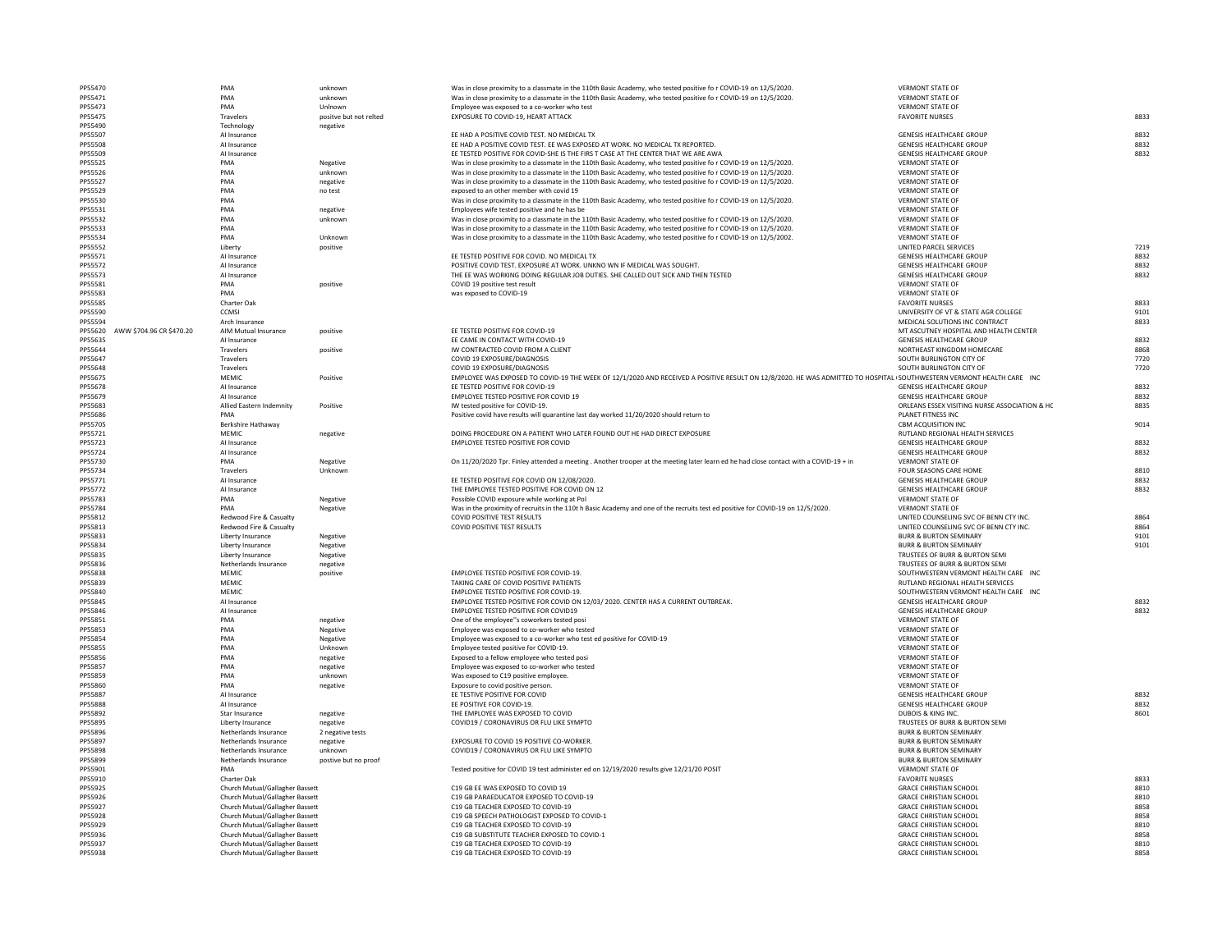| PP55471            |                 |
|--------------------|-----------------|
| PP55473            |                 |
| PP55475            |                 |
| PP55490<br>PP55507 |                 |
| PP55508            |                 |
| PP55509            |                 |
| PP55525            |                 |
| PP55526            |                 |
| PP55527            |                 |
| PP55529            |                 |
| PP55530<br>PP55531 |                 |
| PP55532            |                 |
| PP55533            |                 |
| PP55534            |                 |
| PP55552            |                 |
| PP55571            |                 |
| PP55572<br>PP55573 |                 |
| PP55581            |                 |
| PP55583            |                 |
| PP55585            |                 |
| PP55590            |                 |
| PP55594            |                 |
| PP55620<br>PP55635 | AWW \$704.96 CR |
| PP55644            |                 |
| PP55647            |                 |
| PP55648            |                 |
| PP55675            |                 |
| PP55678            |                 |
| PP55679            |                 |
| PP55683<br>PP55686 |                 |
| PP55705            |                 |
| PP55721            |                 |
| PP55723            |                 |
| PP55724            |                 |
| PP55730            |                 |
| PP55734            |                 |
| PP55771<br>PP55772 |                 |
| PP55783            |                 |
| PP55784            |                 |
| PP55812            |                 |
| PP55813            |                 |
| PP55833            |                 |
| PP55834            |                 |
| PP55835<br>PP55836 |                 |
| PP55838            |                 |
| PP55839            |                 |
| PP55840            |                 |
| PP55845            |                 |
| PP55846            |                 |
| PP55851            |                 |
| PP55853<br>PP55854 |                 |
| PP55855            |                 |
| PP55856            |                 |
| PP55857            |                 |
| PP55859            |                 |
| PP55860            |                 |
| PP55887            |                 |
| PP55888            |                 |
| PP55892<br>PP55895 |                 |
| PP55896            |                 |
| PP55897            |                 |
| PP55898            |                 |
| PP55899            |                 |
| PP55901            |                 |
| PP55910<br>PP55925 |                 |
| PP55926            |                 |
| PP55927            |                 |
| PP55928            |                 |
| PP55929            |                 |
| PP55936            |                 |
| PP55937            |                 |
| PP55938            |                 |
|                    |                 |

| PP55470                             | PMA                             | unknown                | Was in close proximity to a classmate in the 110th Basic Academy, who tested positive fo r COVID-19 on 12/5/2020.                                                     | <b>VERMONT STATE OF</b>                       |      |
|-------------------------------------|---------------------------------|------------------------|-----------------------------------------------------------------------------------------------------------------------------------------------------------------------|-----------------------------------------------|------|
| PP55471                             | PMA                             | unknown                | Was in close proximity to a classmate in the 110th Basic Academy, who tested positive fo r COVID-19 on 12/5/2020.                                                     | <b>VERMONT STATE OF</b>                       |      |
| PP55473                             | PMA                             | Unlnown                | Employee was exposed to a co-worker who test                                                                                                                          | <b>VERMONT STATE OF</b>                       |      |
| PP55475                             | Travelers                       | positve but not relted | <b>EXPOSURE TO COVID-19, HEART ATTACK</b>                                                                                                                             | <b>FAVORITE NURSES</b>                        | 8833 |
| PP55490                             | Technology                      | negative               |                                                                                                                                                                       |                                               |      |
| PP55507                             | Al Insurance                    |                        | EE HAD A POSITIVE COVID TEST. NO MEDICAL TX                                                                                                                           | <b>GENESIS HEALTHCARE GROUP</b>               | 8832 |
| PP55508                             | Al Insurance                    |                        | EE HAD A POSITIVE COVID TEST. EE WAS EXPOSED AT WORK. NO MEDICAL TX REPORTED.                                                                                         | <b>GENESIS HEALTHCARE GROUP</b>               | 8832 |
| PP55509                             | Al Insurance                    |                        | EE TESTED POSITIVE FOR COVID-SHE IS THE FIRS T CASE AT THE CENTER THAT WE ARE AWA                                                                                     | <b>GENESIS HEALTHCARE GROUP</b>               | 8832 |
| PP55525                             | PMA                             | Negative               | Was in close proximity to a classmate in the 110th Basic Academy, who tested positive fo r COVID-19 on 12/5/2020.                                                     | <b>VERMONT STATE OF</b>                       |      |
| PP55526                             | PMA                             | unknown                | Was in close proximity to a classmate in the 110th Basic Academy, who tested positive fo r COVID-19 on 12/5/2020.                                                     | <b>VERMONT STATE OF</b>                       |      |
| PP55527                             | PMA                             | negative               | Was in close proximity to a classmate in the 110th Basic Academy, who tested positive fo r COVID-19 on 12/5/2020.                                                     | <b>VERMONT STATE OF</b>                       |      |
| PP55529                             | PMA                             | no test                | exposed to an other member with covid 19                                                                                                                              | <b>VERMONT STATE OF</b>                       |      |
| PP55530                             | PMA                             |                        | Was in close proximity to a classmate in the 110th Basic Academy, who tested positive fo r COVID-19 on 12/5/2020.                                                     | <b>VERMONT STATE OF</b>                       |      |
| PP55531                             | PMA                             | negative               | Employees wife tested positive and he has be                                                                                                                          | <b>VERMONT STATE OF</b>                       |      |
| PP55532                             | PMA                             | unknown                | Was in close proximity to a classmate in the 110th Basic Academy, who tested positive fo r COVID-19 on 12/5/2020.                                                     | <b>VERMONT STATE OF</b>                       |      |
|                                     |                                 |                        |                                                                                                                                                                       |                                               |      |
| PP55533                             | PMA                             |                        | Was in close proximity to a classmate in the 110th Basic Academy, who tested positive fo r COVID-19 on 12/5/2020.                                                     | <b>VERMONT STATE OF</b>                       |      |
| PP55534                             | PMA                             | Unknown                | Was in close proximity to a classmate in the 110th Basic Academy, who tested positive fo r COVID-19 on 12/5/2002.                                                     | <b>VERMONT STATE OF</b>                       |      |
| PP55552                             | Liberty                         | positive               |                                                                                                                                                                       | UNITED PARCEL SERVICES                        | 7219 |
| PP55571                             | Al Insurance                    |                        | EE TESTED POSITIVE FOR COVID. NO MEDICAL TX                                                                                                                           | <b>GENESIS HEALTHCARE GROUP</b>               | 8832 |
| PP55572                             | Al Insurance                    |                        | POSITIVE COVID TEST. EXPOSURE AT WORK. UNKNO WN IF MEDICAL WAS SOUGHT.                                                                                                | <b>GENESIS HEALTHCARE GROUP</b>               | 8832 |
| PP55573                             | Al Insurance                    |                        | THE EE WAS WORKING DOING REGULAR JOB DUTIES. SHE CALLED OUT SICK AND THEN TESTED                                                                                      | <b>GENESIS HEALTHCARE GROUP</b>               | 8832 |
| PP55581                             | PMA                             | positive               | COVID 19 positive test result                                                                                                                                         | <b>VERMONT STATE OF</b>                       |      |
| PP55583                             | PMA                             |                        | was exposed to COVID-19                                                                                                                                               | <b>VERMONT STATE OF</b>                       |      |
| PP55585                             | Charter Oak                     |                        |                                                                                                                                                                       | <b>FAVORITE NURSES</b>                        | 8833 |
| PP55590                             | <b>CCMSI</b>                    |                        |                                                                                                                                                                       | UNIVERSITY OF VT & STATE AGR COLLEGE          | 9101 |
| PP55594                             | Arch Insurance                  |                        |                                                                                                                                                                       | MEDICAL SOLUTIONS INC CONTRACT                | 8833 |
| PP55620<br>AWW \$704.96 CR \$470.20 | <b>AIM Mutual Insurance</b>     | positive               | EE TESTED POSITIVE FOR COVID-19                                                                                                                                       | MT ASCUTNEY HOSPITAL AND HEALTH CENTER        |      |
| PP55635                             | Al Insurance                    |                        | EE CAME IN CONTACT WITH COVID-19                                                                                                                                      | <b>GENESIS HEALTHCARE GROUP</b>               | 8832 |
| PP55644                             | Travelers                       | positive               | IW CONTRACTED COVID FROM A CLIENT                                                                                                                                     | NORTHEAST KINGDOM HOMECARE                    | 8868 |
| PP55647                             | Travelers                       |                        | COVID 19 EXPOSURE/DIAGNOSIS                                                                                                                                           | SOUTH BURLINGTON CITY OF                      | 7720 |
| PP55648                             | Travelers                       |                        | COVID 19 EXPOSURE/DIAGNOSIS                                                                                                                                           | SOUTH BURLINGTON CITY OF                      | 7720 |
| PP55675                             | <b>MEMIC</b>                    | Positive               | EMPLOYEE WAS EXPOSED TO COVID-19 THE WEEK OF 12/1/2020 AND RECEIVED A POSITIVE RESULT ON 12/8/2020. HE WAS ADMITTED TO HOSPITAL (SOUTHWESTERN VERMONT HEALTH CARE INC |                                               |      |
| PP55678                             | Al Insurance                    |                        | EE TESTED POSITIVE FOR COVID-19                                                                                                                                       | <b>GENESIS HEALTHCARE GROUP</b>               | 8832 |
| PP55679                             | Al Insurance                    |                        | EMPLOYEE TESTED POSITIVE FOR COVID 19                                                                                                                                 | <b>GENESIS HEALTHCARE GROUP</b>               | 8832 |
| PP55683                             | <b>Allied Eastern Indemnity</b> | Positive               | IW tested positive for COVID-19.                                                                                                                                      | ORLEANS ESSEX VISITING NURSE ASSOCIATION & HC | 8835 |
| PP55686                             | PMA                             |                        | Positive covid have results will quarantine last day worked 11/20/2020 should return to                                                                               | PLANET FITNESS INC                            |      |
| PP55705                             | Berkshire Hathaway              |                        |                                                                                                                                                                       | <b>CBM ACQUISITION INC</b>                    | 9014 |
| PP55721                             | <b>MEMIC</b>                    | negative               | DOING PROCEDURE ON A PATIENT WHO LATER FOUND OUT HE HAD DIRECT EXPOSURE                                                                                               | RUTLAND REGIONAL HEALTH SERVICES              |      |
| PP55723                             | Al Insurance                    |                        | EMPLOYEE TESTED POSITIVE FOR COVID                                                                                                                                    | <b>GENESIS HEALTHCARE GROUP</b>               | 8832 |
| PP55724                             | Al Insurance                    |                        |                                                                                                                                                                       | <b>GENESIS HEALTHCARE GROUP</b>               | 8832 |
|                                     | PMA                             |                        | On 11/20/2020 Tpr. Finley attended a meeting. Another trooper at the meeting later learn ed he had close contact with a COVID-19 + in                                 | <b>VERMONT STATE OF</b>                       |      |
| PP55730                             |                                 | Negative               |                                                                                                                                                                       |                                               |      |
| PP55734                             | Travelers                       | Unknown                |                                                                                                                                                                       | FOUR SEASONS CARE HOME                        | 8810 |
| PP55771                             | Al Insurance                    |                        | EE TESTED POSITIVE FOR COVID ON 12/08/2020.                                                                                                                           | <b>GENESIS HEALTHCARE GROUP</b>               | 8832 |
| PP55772                             | Al Insurance                    |                        | THE EMPLOYEE TESTED POSITIVE FOR COVID ON 12                                                                                                                          | <b>GENESIS HEALTHCARE GROUP</b>               | 8832 |
| PP55783                             | PMA                             | Negative               | Possible COVID exposure while working at Pol                                                                                                                          | <b>VERMONT STATE OF</b>                       |      |
| PP55784                             | <b>PMA</b>                      | Negative               | Was in the proximity of recruits in the 110t h Basic Academy and one of the recruits test ed positive for COVID-19 on 12/5/2020.                                      | <b>VERMONT STATE OF</b>                       |      |
| PP55812                             | Redwood Fire & Casualty         |                        | COVID POSITIVE TEST RESULTS                                                                                                                                           | UNITED COUNSELING SVC OF BENN CTY INC.        | 8864 |
| PP55813                             | Redwood Fire & Casualty         |                        | COVID POSITIVE TEST RESULTS                                                                                                                                           | UNITED COUNSELING SVC OF BENN CTY INC.        | 8864 |
| PP55833                             | Liberty Insurance               | Negative               |                                                                                                                                                                       | <b>BURR &amp; BURTON SEMINARY</b>             | 9101 |
| PP55834                             | Liberty Insurance               | Negative               |                                                                                                                                                                       | <b>BURR &amp; BURTON SEMINARY</b>             | 9101 |
| PP55835                             | Liberty Insurance               | Negative               |                                                                                                                                                                       | TRUSTEES OF BURR & BURTON SEMI                |      |
| PP55836                             | Netherlands Insurance           | negative               |                                                                                                                                                                       | TRUSTEES OF BURR & BURTON SEMI                |      |
| PP55838                             | <b>MEMIC</b>                    | positive               | <b>EMPLOYEE TESTED POSITIVE FOR COVID-19.</b>                                                                                                                         | SOUTHWESTERN VERMONT HEALTH CARE INC          |      |
| PP55839                             | <b>MEMIC</b>                    |                        | TAKING CARE OF COVID POSITIVE PATIENTS                                                                                                                                | RUTLAND REGIONAL HEALTH SERVICES              |      |
| PP55840                             | <b>MEMIC</b>                    |                        | <b>EMPLOYEE TESTED POSITIVE FOR COVID-19.</b>                                                                                                                         | SOUTHWESTERN VERMONT HEALTH CARE INC          |      |
| PP55845                             | Al Insurance                    |                        | EMPLOYEE TESTED POSITIVE FOR COVID ON 12/03/2020. CENTER HAS A CURRENT OUTBREAK.                                                                                      | <b>GENESIS HEALTHCARE GROUP</b>               | 8832 |
| PP55846                             | Al Insurance                    |                        | <b>EMPLOYEE TESTED POSITIVE FOR COVID19</b>                                                                                                                           | <b>GENESIS HEALTHCARE GROUP</b>               | 8832 |
| PP55851                             | PMA                             | negative               | One of the employee"s coworkers tested posi                                                                                                                           | <b>VERMONT STATE OF</b>                       |      |
| PP55853                             | PMA                             | Negative               | Employee was exposed to co-worker who tested                                                                                                                          | <b>VERMONT STATE OF</b>                       |      |
| PP55854                             | PMA                             | Negative               | Employee was exposed to a co-worker who test ed positive for COVID-19                                                                                                 | <b>VERMONT STATE OF</b>                       |      |
| PP55855                             | PMA                             | Unknown                | Employee tested positive for COVID-19.                                                                                                                                | <b>VERMONT STATE OF</b>                       |      |
| PP55856                             | PMA                             | negative               | Exposed to a fellow employee who tested posi                                                                                                                          | <b>VERMONT STATE OF</b>                       |      |
| PP55857                             | <b>PMA</b>                      | negative               | Employee was exposed to co-worker who tested                                                                                                                          | <b>VERMONT STATE OF</b>                       |      |
| PP55859                             | <b>PMA</b>                      | unknown                | Was exposed to C19 positive employee.                                                                                                                                 | <b>VERMONT STATE OF</b>                       |      |
| PP55860                             | PMA                             | negative               | Exposure to covid positive person.                                                                                                                                    | <b>VERMONT STATE OF</b>                       |      |
| PP55887                             | Al Insurance                    |                        | EE TESTIVE POSITIVE FOR COVID                                                                                                                                         | <b>GENESIS HEALTHCARE GROUP</b>               | 8832 |
| PP55888                             | Al Insurance                    |                        | EE POSITIVE FOR COVID-19.                                                                                                                                             | <b>GENESIS HEALTHCARE GROUP</b>               | 8832 |
| PP55892                             | Star Insurance                  | negative               | THE EMPLOYEE WAS EXPOSED TO COVID                                                                                                                                     | <b>DUBOIS &amp; KING INC.</b>                 | 8601 |
| PP55895                             | Liberty Insurance               | negative               | COVID19 / CORONAVIRUS OR FLU LIKE SYMPTO                                                                                                                              | TRUSTEES OF BURR & BURTON SEMI                |      |
| PP55896                             | Netherlands Insurance           | 2 negative tests       |                                                                                                                                                                       | <b>BURR &amp; BURTON SEMINARY</b>             |      |
| PP55897                             | Netherlands Insurance           | negative               | EXPOSURE TO COVID 19 POSITIVE CO-WORKER.                                                                                                                              | <b>BURR &amp; BURTON SEMINARY</b>             |      |
| PP55898                             | Netherlands Insurance           | unknown                | COVID19 / CORONAVIRUS OR FLU LIKE SYMPTO                                                                                                                              | <b>BURR &amp; BURTON SEMINARY</b>             |      |
| PP55899                             | Netherlands Insurance           | postive but no proof   |                                                                                                                                                                       | <b>BURR &amp; BURTON SEMINARY</b>             |      |
| PP55901                             | PMA                             |                        | Tested positive for COVID 19 test administer ed on 12/19/2020 results give 12/21/20 POSIT                                                                             | <b>VERMONT STATE OF</b>                       |      |
| PP55910                             | Charter Oak                     |                        |                                                                                                                                                                       | <b>FAVORITE NURSES</b>                        | 8833 |
| PP55925                             | Church Mutual/Gallagher Bassett |                        | C19 GB EE WAS EXPOSED TO COVID 19                                                                                                                                     | <b>GRACE CHRISTIAN SCHOOL</b>                 | 8810 |
| PP55926                             | Church Mutual/Gallagher Bassett |                        | C19 GB PARAEDUCATOR EXPOSED TO COVID-19                                                                                                                               | <b>GRACE CHRISTIAN SCHOOL</b>                 | 8810 |
|                                     | Church Mutual/Gallagher Bassett |                        | C19 GB TEACHER EXPOSED TO COVID-19                                                                                                                                    | <b>GRACE CHRISTIAN SCHOOL</b>                 | 8858 |
| PP55927                             |                                 |                        |                                                                                                                                                                       | <b>GRACE CHRISTIAN SCHOOL</b>                 |      |
| PP55928                             | Church Mutual/Gallagher Bassett |                        | C19 GB SPEECH PATHOLOGIST EXPOSED TO COVID-1                                                                                                                          |                                               | 8858 |
| PP55929                             | Church Mutual/Gallagher Bassett |                        | C19 GB TEACHER EXPOSED TO COVID-19                                                                                                                                    | <b>GRACE CHRISTIAN SCHOOL</b>                 | 8810 |
| PP55936                             | Church Mutual/Gallagher Bassett |                        | C19 GB SUBSTITUTE TEACHER EXPOSED TO COVID-1                                                                                                                          | <b>GRACE CHRISTIAN SCHOOL</b>                 | 8858 |
| PP55937                             | Church Mutual/Gallagher Bassett |                        | C19 GB TEACHER EXPOSED TO COVID-19                                                                                                                                    | <b>GRACE CHRISTIAN SCHOOL</b>                 | 8810 |
| PP55938                             | Church Mutual/Gallagher Bassett |                        | C19 GB TEACHER EXPOSED TO COVID-19                                                                                                                                    | <b>GRACE CHRISTIAN SCHOOL</b>                 | 8858 |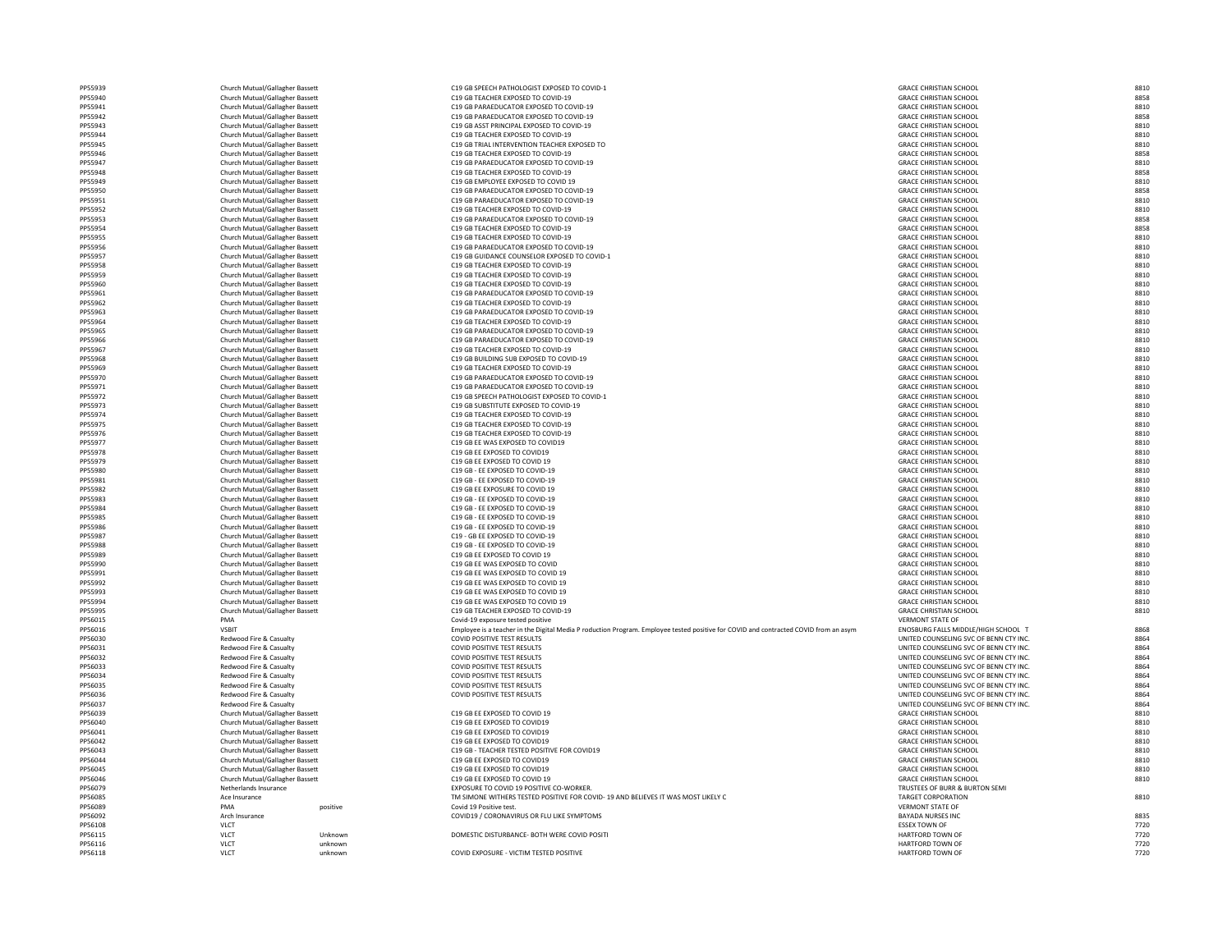| PP55940            |  |
|--------------------|--|
| PP55941            |  |
| PP55942            |  |
| PP55943            |  |
| PP55944            |  |
| PP55945            |  |
| PP55946            |  |
| PP55947            |  |
| PP55948            |  |
| PP55949            |  |
| PP55950            |  |
| PP55951            |  |
| PP55952            |  |
| PP55953            |  |
| PP55954            |  |
| PP55955            |  |
| PP55956            |  |
| PP55957            |  |
|                    |  |
| PP55958            |  |
| PP55959            |  |
| PP55960            |  |
| PP55961            |  |
| PP55962            |  |
| PP55963            |  |
| PP55964            |  |
| PP55965            |  |
| PP55966            |  |
| PP55967            |  |
| PP55968            |  |
| PP55969            |  |
| PP55970            |  |
| PP55971            |  |
| PP55972            |  |
| PP55973            |  |
| PP55974            |  |
| PP55975            |  |
| PP55976            |  |
| PP55977            |  |
| PP55978            |  |
| PP55979            |  |
| PP55980            |  |
|                    |  |
|                    |  |
| PP55981            |  |
| PP55982            |  |
| PP55983            |  |
| PP55984            |  |
| PP55985            |  |
| PP55986            |  |
| PP55987            |  |
| PP55988            |  |
| PP55989            |  |
| PP55990            |  |
| PP55991            |  |
| PP55992            |  |
| PP55993            |  |
| PP55994            |  |
| PP55995            |  |
| PP56015            |  |
| PP56016            |  |
| PP56030            |  |
| PP56031            |  |
| PP56032            |  |
| PP56033            |  |
| PP56034            |  |
| PP5603<br>Į        |  |
| PP56036            |  |
| PP56037            |  |
| PP56039            |  |
| PP56040            |  |
| PP56041            |  |
| PP56042            |  |
|                    |  |
| PP56043            |  |
| PP56044            |  |
| PP56045            |  |
| PP56046            |  |
| PP56079            |  |
| PP56085            |  |
| PP56089            |  |
| PP56092            |  |
| PP56108            |  |
| PP56115<br>PP56116 |  |

PP56118 VLCT VLCT VLCT UNKnown UNKNOWN COVID EXPOSURE - VICTIM TESTED POSITIVE

| Church Mutual/Gallagher Bassett | C19 GB SPEECH PATHOLOGIST EXPOSED TO COVID-1          | <b>GRACE CHRISTIAN SCHOOL</b> | 8810 |
|---------------------------------|-------------------------------------------------------|-------------------------------|------|
| Church Mutual/Gallagher Bassett | C19 GB TEACHER EXPOSED TO COVID-19                    | <b>GRACE CHRISTIAN SCHOOL</b> | 8858 |
| Church Mutual/Gallagher Bassett | C19 GB PARAEDUCATOR EXPOSED TO COVID-19               | <b>GRACE CHRISTIAN SCHOOL</b> | 8810 |
| Church Mutual/Gallagher Bassett | C19 GB PARAEDUCATOR EXPOSED TO COVID-19               | <b>GRACE CHRISTIAN SCHOOL</b> | 8858 |
| Church Mutual/Gallagher Bassett | C <sub>19</sub> GB ASST PRINCIPAL EXPOSED TO COVID-19 | <b>GRACE CHRISTIAN SCHOOL</b> | 8810 |
| Church Mutual/Gallagher Bassett | C19 GB TEACHER EXPOSED TO COVID-19                    | <b>GRACE CHRISTIAN SCHOOL</b> | 8810 |
| Church Mutual/Gallagher Bassett | C19 GB TRIAL INTERVENTION TEACHER EXPOSED TO          | <b>GRACE CHRISTIAN SCHOOL</b> | 8810 |
| Church Mutual/Gallagher Bassett | C19 GB TEACHER EXPOSED TO COVID-19                    | <b>GRACE CHRISTIAN SCHOOL</b> | 8858 |
| Church Mutual/Gallagher Bassett | C19 GB PARAEDUCATOR EXPOSED TO COVID-19               | <b>GRACE CHRISTIAN SCHOOL</b> | 8810 |
| Church Mutual/Gallagher Bassett | C19 GB TEACHER EXPOSED TO COVID-19                    | <b>GRACE CHRISTIAN SCHOOL</b> | 8858 |
| Church Mutual/Gallagher Bassett | C19 GB EMPLOYEE EXPOSED TO COVID 19                   | <b>GRACE CHRISTIAN SCHOOL</b> | 8810 |
| Church Mutual/Gallagher Bassett | C19 GB PARAEDUCATOR EXPOSED TO COVID-19               | <b>GRACE CHRISTIAN SCHOOL</b> | 8858 |
| Church Mutual/Gallagher Bassett | C19 GB PARAEDUCATOR EXPOSED TO COVID-19               | <b>GRACE CHRISTIAN SCHOOL</b> | 8810 |
| Church Mutual/Gallagher Bassett | C19 GB TEACHER EXPOSED TO COVID-19                    | <b>GRACE CHRISTIAN SCHOOL</b> | 8810 |
| Church Mutual/Gallagher Bassett | C19 GB PARAEDUCATOR EXPOSED TO COVID-19               | <b>GRACE CHRISTIAN SCHOOL</b> | 8858 |
| Church Mutual/Gallagher Bassett | C19 GB TEACHER EXPOSED TO COVID-19                    | <b>GRACE CHRISTIAN SCHOOL</b> | 8858 |
| Church Mutual/Gallagher Bassett | C19 GB TEACHER EXPOSED TO COVID-19                    | <b>GRACE CHRISTIAN SCHOOL</b> | 8810 |
| Church Mutual/Gallagher Bassett | C19 GB PARAEDUCATOR EXPOSED TO COVID-19               | <b>GRACE CHRISTIAN SCHOOL</b> | 8810 |
| Church Mutual/Gallagher Bassett | C19 GB GUIDANCE COUNSELOR EXPOSED TO COVID-1          | <b>GRACE CHRISTIAN SCHOOL</b> | 8810 |
| Church Mutual/Gallagher Bassett | C19 GB TEACHER EXPOSED TO COVID-19                    | <b>GRACE CHRISTIAN SCHOOL</b> | 8810 |
| Church Mutual/Gallagher Bassett | C19 GB TEACHER EXPOSED TO COVID-19                    | <b>GRACE CHRISTIAN SCHOOL</b> | 8810 |
| Church Mutual/Gallagher Bassett | C19 GB TEACHER EXPOSED TO COVID-19                    | <b>GRACE CHRISTIAN SCHOOL</b> | 8810 |
| Church Mutual/Gallagher Bassett | C19 GB PARAEDUCATOR EXPOSED TO COVID-19               | <b>GRACE CHRISTIAN SCHOOL</b> | 8810 |
| Church Mutual/Gallagher Bassett | C19 GB TEACHER EXPOSED TO COVID-19                    | <b>GRACE CHRISTIAN SCHOOL</b> | 8810 |
| Church Mutual/Gallagher Bassett | C19 GB PARAEDUCATOR EXPOSED TO COVID-19               | <b>GRACE CHRISTIAN SCHOOL</b> | 8810 |
| Church Mutual/Gallagher Bassett | C19 GB TEACHER EXPOSED TO COVID-19                    | <b>GRACE CHRISTIAN SCHOOL</b> | 8810 |
| Church Mutual/Gallagher Bassett | C19 GB PARAEDUCATOR EXPOSED TO COVID-19               | <b>GRACE CHRISTIAN SCHOOL</b> | 8810 |
| Church Mutual/Gallagher Bassett | C19 GB PARAEDUCATOR EXPOSED TO COVID-19               | <b>GRACE CHRISTIAN SCHOOL</b> | 8810 |
| Church Mutual/Gallagher Bassett | C19 GB TEACHER EXPOSED TO COVID-19                    | <b>GRACE CHRISTIAN SCHOOL</b> | 8810 |
| Church Mutual/Gallagher Bassett | C19 GB BUILDING SUB EXPOSED TO COVID-19               | <b>GRACE CHRISTIAN SCHOOL</b> | 8810 |
| Church Mutual/Gallagher Bassett | C19 GB TEACHER EXPOSED TO COVID-19                    | <b>GRACE CHRISTIAN SCHOOL</b> | 8810 |
| Church Mutual/Gallagher Bassett | C19 GB PARAEDUCATOR EXPOSED TO COVID-19               | <b>GRACE CHRISTIAN SCHOOL</b> | 8810 |
| Church Mutual/Gallagher Bassett | C19 GB PARAEDUCATOR EXPOSED TO COVID-19               | <b>GRACE CHRISTIAN SCHOOL</b> | 8810 |

| GRACE CHRISTIAN SCHOOL                           | 8858         |
|--------------------------------------------------|--------------|
| GRACE CHRISTIAN SCHOOL                           | 8810         |
| <b>GRACE CHRISTIAN SCHOOL</b>                    | 8858         |
| GRACE CHRISTIAN SCHOOL                           | 8810         |
| GRACE CHRISTIAN SCHOOL                           | 8810         |
| GRACE CHRISTIAN SCHOOL                           | 8810         |
| GRACE CHRISTIAN SCHOOL                           | 8858         |
| <b>GRACE CHRISTIAN SCHOOL</b>                    | 8810         |
| <b>GRACE CHRISTIAN SCHOOL</b>                    | 8858         |
| GRACE CHRISTIAN SCHOOL                           | 8810         |
|                                                  |              |
| GRACE CHRISTIAN SCHOOL                           | 8858         |
| <b>GRACE CHRISTIAN SCHOOL</b>                    | 8810         |
| GRACE CHRISTIAN SCHOOL                           | 8810         |
| GRACE CHRISTIAN SCHOOL                           | 8858         |
| <b>GRACE CHRISTIAN SCHOOL</b>                    | 8858         |
| GRACE CHRISTIAN SCHOOL                           | 8810         |
| GRACE CHRISTIAN SCHOOL                           | 8810         |
| <b>GRACE CHRISTIAN SCHOOL</b>                    | 8810         |
| GRACE CHRISTIAN SCHOOL                           | 8810         |
| GRACE CHRISTIAN SCHOOL                           | 8810         |
| <b>GRACE CHRISTIAN SCHOOL</b>                    | 8810         |
| GRACE CHRISTIAN SCHOOL                           | 8810         |
| GRACE CHRISTIAN SCHOOL                           | 8810         |
| GRACE CHRISTIAN SCHOOL                           | 8810         |
| <b>GRACE CHRISTIAN SCHOOL</b>                    | 8810         |
| GRACE CHRISTIAN SCHOOL                           | 8810         |
| <b>GRACE CHRISTIAN SCHOOL</b>                    | 8810         |
| <b>GRACE CHRISTIAN SCHOOL</b>                    | 8810         |
| <b>GRACE CHRISTIAN SCHOOL</b>                    | 8810         |
| <b>GRACE CHRISTIAN SCHOOL</b>                    | 8810         |
| <b>GRACE CHRISTIAN SCHOOL</b>                    | 8810         |
| <b>GRACE CHRISTIAN SCHOOL</b>                    | 8810         |
| GRACE CHRISTIAN SCHOOL                           | 8810         |
| <b>GRACE CHRISTIAN SCHOOL</b>                    | 8810         |
| GRACE CHRISTIAN SCHOOL                           | 8810         |
| <b>GRACE CHRISTIAN SCHOOL</b>                    | 8810         |
| <b>GRACE CHRISTIAN SCHOOL</b>                    |              |
|                                                  | 8810         |
| GRACE CHRISTIAN SCHOOL<br>GRACE CHRISTIAN SCHOOL | 8810<br>8810 |
| <b>GRACE CHRISTIAN SCHOOL</b>                    | 8810         |
| <b>GRACE CHRISTIAN SCHOOL</b>                    | 8810         |
|                                                  |              |
| GRACE CHRISTIAN SCHOOL                           | 8810         |
| <b>GRACE CHRISTIAN SCHOOL</b>                    | 8810         |
| <b>GRACE CHRISTIAN SCHOOL</b>                    | 8810         |
| <b>GRACE CHRISTIAN SCHOOL</b>                    | 8810         |
| GRACE CHRISTIAN SCHOOL                           | 8810         |
| GRACE CHRISTIAN SCHOOL                           | 8810         |
| <b>GRACE CHRISTIAN SCHOOL</b>                    | 8810         |
| <b>GRACE CHRISTIAN SCHOOL</b>                    | 8810         |
| GRACE CHRISTIAN SCHOOL                           | 8810         |
| GRACE CHRISTIAN SCHOOL                           | 8810         |
| <b>GRACE CHRISTIAN SCHOOL</b>                    | 8810         |
| GRACE CHRISTIAN SCHOOL                           | 8810         |
| <b>GRACE CHRISTIAN SCHOOL</b>                    | 8810         |
| <b>GRACE CHRISTIAN SCHOOL</b>                    | 8810         |
| GRACE CHRISTIAN SCHOOL                           | 8810         |
| <b>VERMONT STATE OF</b>                          |              |
| ENOSBURG FALLS MIDDLE/HIGH SCHOOL T              | 8868         |
| UNITED COUNSELING SVC OF BENN CTY INC.           | 8864         |
| UNITED COUNSELING SVC OF BENN CTY INC.           | 8864         |
| UNITED COUNSELING SVC OF BENN CTY INC.           | 8864         |
| UNITED COUNSELING SVC OF BENN CTY INC.           | 8864         |
| UNITED COUNSELING SVC OF BENN CTY INC.           | 8864         |
| UNITED COUNSELING SVC OF BENN CTY INC.           | 8864         |
| UNITED COUNSELING SVC OF BENN CTY INC.           | 8864         |
| JNITED COUNSELING SVC OF BENN CTY INC.           | 8864         |
| <b>GRACE CHRISTIAN SCHOOL</b>                    | 8810         |
| <b>GRACE CHRISTIAN SCHOOL</b>                    | 8810         |
| GRACE CHRISTIAN SCHOOL                           | 8810         |
| GRACE CHRISTIAN SCHOOL                           | 8810         |
| GRACE CHRISTIAN SCHOOL                           | 8810         |
| GRACE CHRISTIAN SCHOOL                           | 8810         |
| GRACE CHRISTIAN SCHOOL                           | 8810         |
| GRACE CHRISTIAN SCHOOL                           | 8810         |
|                                                  |              |
| TRUSTEES OF BURR & BURTON SEMI                   |              |
| <b>TARGET CORPORATION</b>                        | 8810         |
| <b>VERMONT STATE OF</b>                          |              |
| <b>BAYADA NURSES INC</b>                         | 8835         |
| <b>ESSEX TOWN OF</b>                             | 7720         |
| HARTFORD TOWN OF                                 | 7720         |
| HARTFORD TOWN OF                                 | 7720         |
| HARTFORD TOWN OF                                 | 7720         |

Church Mutual/Gallagher Bassett C19 GB TEACHER EXPOSED TO COVID-19 GRACE CHRISTIAN SCHOOL 68858 Church Mutual/Gallagher Bassett C19 GB PARAEDUCATOR EXPOSED TO COVID-19 Church Mutual/Gallagher Bassett C19 GB PARAEDUCATOR EXPOSED TO COVID-19 Photostal Mutual/Gallagher Bassett C19 GB ASST PRINCIPAL EXPOSED TO COVID-19 Church Mutual/Gallagher Bassett C19 GB TEACHER EXPOSED TO COVID-19 GRACE CHRISTIAN SCHOOL 68810 PSF 65595 Church Mutual/Gallagher Bassett Church Mutual/Gallagher Bassett Case Communication C19 GB TRIAL INTERVENTION TEACHER EXPOSED Church Mutual/Gallagher Bassett C19 GB TEACHER EXPOSED TO COVID-19 GRACE CHRISTIAN SCHOOL 68858 Church Mutual/Gallagher Bassett C19 GB PARAEDUCATOR EXPOSED TO COVID-19 Church Mutual/Gallagher Bassett C19 GB TEACHER EXPOSED TO COVID-19 PS 59495959 Church Mutual/Gallagher Bassett C19 GB EMPLOYEE EXPOSED TO COVID 19 Church Mutual/Gallagher Bassett C19 GB PARAEDUCATOR EXPOSED TO COVID-19 Church Mutual/Gallagher Bassett C19 GB PARAEDUCATOR EXPOSED TO COVID-19 Photostal Mutual/Gallagher Bassett C19 GB TEACHER EXPOSED TO COVID-19 Church Mutual/Gallagher Bassett C19 GB PARAEDUCATOR EXPOSED TO COVID-19 Church Mutual/Gallagher Bassett C19 GB TEACHER EXPOSED TO COVID-19 GRACE CHRISTIAN SCHOOL 68858 Church Mutual/Gallagher Bassett C19 GB TEACHER EXPOSED TO COVID-19 GRACE CHRISTIAN SCHOOL 68810 Church Mutual/Gallagher Bassett Church Mutual/Gallagher Bassett C19 GB PARAEDUCATOR EXPOSED TO COVID-19 Church Mutual/Gallagher Bassett COUNSELOR EXPOSED TO CO PS 595959595 Church Mutual/Gallagher Bassett Church Mutual/Gallagher Bassett Capaca CHRISTIAN SCHOOL 88100 COVID-19 Church Mutual/Gallagher Bassett C19 GB TEACHER EXPOSED TO COVID-19 Church Mutual/Gallagher Bassett C19 GB TEACHER EXPOSED TO COVID-19 Photoshops Church Mutual/Gallagher Bassett Church Mutual/Gallagher Bassett Case Case Case Case Case CHRISTIAN SCHOOL 8910-19 GRACE CHRISTIAN SCHOOL 8910-19 GRACE CHRISTIAN SCHOOL 8910-19 GRACE CHRISTIAN SCHOOL 8910-19 GRAC Church Mutual/Gallagher Bassett C19 GB TEACHER EXPOSED TO COVID-19 PS 51963 Church Mutual/Gallagher Bassett C19 GB PARAEDUCATOR EXPOSED TO COVID-19 Church Mutual/Gallagher Bassett C19 GB TEACHER EXPOSED TO COVID-19 GRACE CHRISTIAN SCHOOL 68810 Church Mutual/Gallagher Bassett Church Mutual/Gallagher Bassett CHRISTIAN SCHOOL 8810 GB PARAEDUCATOR EXPOSED TO COVID-19 PS 59666 Church Mutual/Gallagher Bassett C19 GB PARAEDUCATOR EXPOSED TO COVID-19 P55967 Church Mutual/Gallagher Bassett C19 GB TEACHER EXPOSED TO COVID-19 PS5968 Church Mutual/Gallagher Bassett C19 GB BUILDING SUB EXPOSED TO COVID-19 Church Mutual/Gallagher Bassett C19 GB TEACHER EXPOSED TO COVID-19 GRACE CHRISTIAN SCHOOL 68810 Church Mutual/Gallagher Bassett Church Mutual/Gallagher Bassett CHARISTIAN SCHOOL 8810 COVID-19 GB PARAEDUCATOR EXPOSED TO COVID-19 Church Mutual/Gallagher Bassett Church Mutual/Gallagher Bassett CHRISTIAN SCHOOL 8810 GB PARAEDUCATOR EXPOSED TO COVID-19 Phone Church Mutual/Gallagher Bassett C19 GB SPEECH PATHOLOGIST EXPOSED TO COVID-1 PS5373 Church Mutual/Gallagher Bassett C19 GB SUBSTITUTE EXPOSED TO COVID-19 P559767 Church Mutual/Gallagher Bassett C19 GB TEACHER EXPOSED TO COVID-19 Photostal Mutual/Gallagher Bassett C19 GB TEACHER EXPOSED TO COVID-19 Church Mutual/Gallagher Bassett C19 GB TEACHER EXPOSED TO COVID-19 GRACE CHRISTIAN SCHOOL 68810 Church Mutual/Gallagher Bassett C19 GB EE WAS EXPOSED TO COVID19 GRACE CHRISTIAN SCHOOL 68810 Church Mutual/Gallagher Bassett C19 GB EE EXPOSED TO COVID19 GRACE CHRISTIAN SCHOOL 68810 Church Mutual/Gallagher Bassett C19 GB EE EXPOSED TO COVID 19 GRACE CHRISTIAN SCHOOL 8810 Church Mutual/Gallagher Bassett C19 GB - EE EXPOSED TO COVID-19 GRACE CHRISTIAN SCHOOL 8810 Church Mutual/Gallagher Bassett C19 GB - EE EXPOSED TO COVID-19 GRACE CHRISTIAN SCHOOL 68810 Church Mutual/Gallagher Bassett C19 GB EE EXPOSURE TO COVID 19 GRACE CHRISTIAN SCHOOL 8810 Church Mutual/Gallagher Bassett C19 GB - EE EXPOSED TO COVID-19 GRACE CHRISTIAN SCHOOL 8810 Church Mutual/Gallagher Bassett C19 GB - EE EXPOSED TO COVID-19 GRACE CHRISTIAN SCHOOL 8810 Church Mutual/Gallagher Bassett C19 GB - EE EXPOSED TO COVID-19 GRACE CHRISTIAN SCHOOL 68810 Church Mutual/Gallagher Bassett C19 GB - EE EXPOSED TO COVID-19 GRACE CHRISTIAN SCHOOL 68810 Church Mutual/Gallagher Bassett C19 - GB EE EXPOSED TO COVID-19 GRACE CHRISTIAN SCHOOL 68810 Church Mutual/Gallagher Bassett C19 GB - EE EXPOSED TO COVID-19 GRACE CHRISTIAN SCHOOL 8810 Church Mutual/Gallagher Bassett C19 GB EE EXPOSED TO COVID 19 GRACE CHRISTIAN SCHOOL 8810 Church Mutual/Gallagher Bassett C19 GB EE WAS EXPOSED TO COVID GRACE CHRISTIAN SCHOOL 68810 Church Mutual/Gallagher Bassett Church Mutual/Gallagher Bassett CHACE CHRISTIAN SCHOOL 8810 COVID 19 Church Mutual/Gallagher Bassett C19 GB EE WAS EXPOSED TO COVID 19 GRACE CHRISTIAN SCHOOL 68810 Church Mutual/Gallagher Bassett C19 GB EE WAS EXPOSED TO COVID 19 GRACE CHRISTIAN SCHOOL 68810 Church Mutual/Gallagher Bassett C19 GB EE WAS EXPOSED TO COVID 19 GRACE CHRISTIAN SCHOOL 68810 Church Mutual/Gallagher Bassett C19 GB TEACHER EXPOSED TO COVID-19 GRACE CHRISTIAN SCHOOL 68810 PMA Covid-19 exposure tested positive VSBIT VILLE 20016 VALUAT Employee is a teacher in the Digital Media P roduction Program. Employee tested positive for COVID and contracted COVID from an asym Redwood Fire & Casualty COVID POSITIVE TEST RESULTS COVID POSITIVE TEST RESULTS UNITED COUNSELING SVC OF BENN CTY INC. Redwood Fire & Casualty COVID POSITIVE TEST RESULTS COVID POSITIVE TEST RESULTS UNITED COUNSELING SVC OF BENN CTY INC. Redwood Fire & Casualty COVID POSITIVE TEST RESULTS COVID POSITIVE TEST RESULTS UNITED COUNSELING SVC OF BENN CTY INC. Redwood Fire & Casualty COVID POSITIVE TEST RESULTS COVID POSITIVE TEST RESULTS UNITED COUNSELING SVC OF BENN CTY INC. Redwood Fire & Casualty COVID POSITIVE TEST RESULTS COVID POSITIVE TEST RESULTS UNITED COUNSELING SVC OF BENN CTY INC. Redwood Fire & Casualty COVID POSITIVE TEST RESULTS COVID POSITIVE TEST RESULTS UNITED COUNSELING SVC OF BENN CTY INC. Redwood Fire & Casualty COVID POSITIVE TEST RESULTS COVID POSITIVE TEST RESULTS UNITED COUNSELING SVC OF BENN CTY INC. PP56037 Redwood Fire & Casualty UNITED COUNSELING SVC OF BENN CTY INC. 8864 Church Mutual/Gallagher Bassett C19 GB EE EXPOSED TO COVID 19 GRACE CHRISTIAN SCHOOL 8810 Church Mutual/Gallagher Bassett C19 GB EE EXPOSED TO COVID19 GRACE CHRISTIAN SCHOOL 68810 Church Mutual/Gallagher Bassett C19 GB EE EXPOSED TO COVID19 GRACE CHRISTIAN SCHOOL 68810 Church Mutual/Gallagher Bassett C19 GB EE EXPOSED TO COVID19 GRACE CHRISTIAN SCHOOL 68810 Phong Church Mutual/Gallagher Bassett C19 GB - TEACHER TESTED POSITIVE FOR COVID19 Church Mutual/Gallagher Bassett C19 GB EE EXPOSED TO COVID19 GRACE CHRISTIAN SCHOOL 68810 Church Mutual/Gallagher Bassett C19 GB EE EXPOSED TO COVID19 GRACE CHRISTIAN SCHOOL 68810 Church Mutual/Gallagher Bassett C19 GB EE EXPOSED TO COVID 19 GRACE CHRISTIAN SCHOOL 8810 PP56079 Netherlands Insurance EXPOSURE TO COVID 19 POSITIVE CO-WORKER. TRUSTEES OF BURR & BURTON SEMI POSTED POSITIVE FOR COVID- 19 AND BELIEVES IT WAS MOST LIKELY CORPORATION IN SIMONE WITHERS TESTED POSITIVE FOR COVID- 19 AND BELIEVES IT WAS MOST LIKELY C PP56089 PMA positive covid 19 Positive covid 19 Positive test. Performance Arch Insurance COVID19 / CORONAVIRUS OR FLU LIKE SYMPTOMS BAYADA NURSES INC 883556092 ARCH INC 8835 PP56108 VLCT ESSEX TOWN OF 7720 VLCT VICT Unknown Unknown DOMESTIC DISTURBANCE- BOTH WERE COVID POSITI PP56116 VLCT unknown HARTFORD TOWN OF 7720